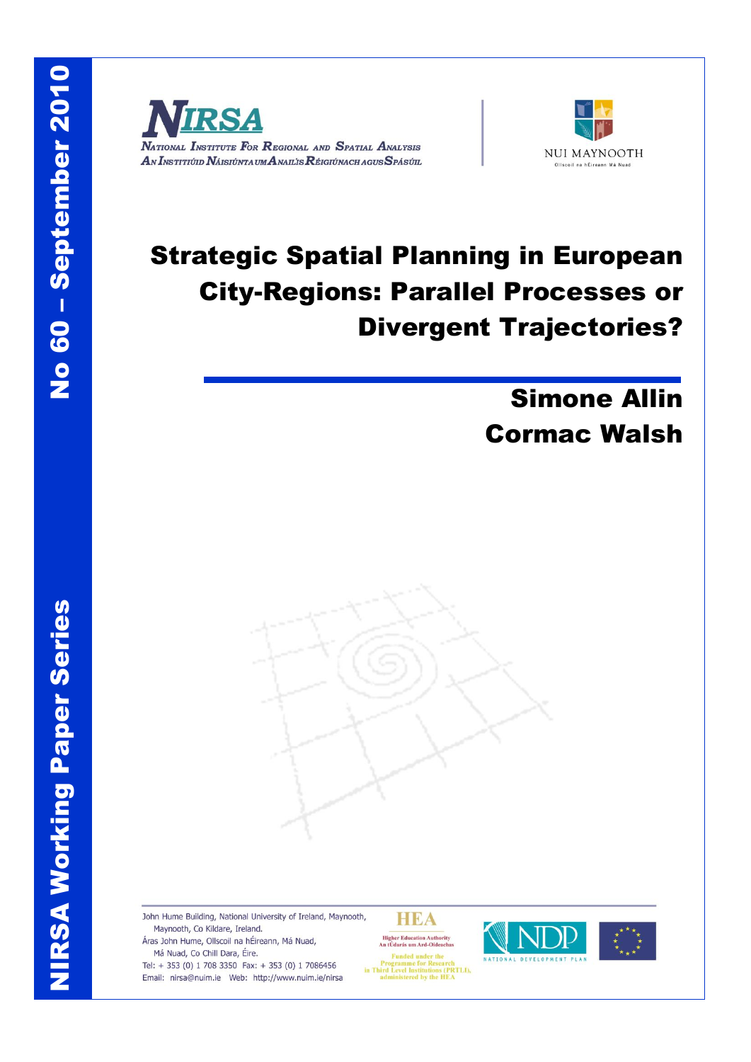NIRSA Working Paper Series

**NIRSA Working Paper Series** 





# Strategic Spatial Planning in European City-Regions: Parallel Processes or Divergent Trajectories?

# Simone Allin Cormac Walsh



John Hume Building, National University of Ireland, Maynooth, Maynooth, Co Kildare, Ireland.

Áras John Hume, Ollscoil na hÉireann, Má Nuad, Má Nuad, Co Chill Dara, Éire.

Tel: + 353 (0) 1 708 3350 Fax: + 353 (0) 1 7086456 Email: nirsa@nuim.ie Web: http://www.nuim.ie/nirsa





**Funded under the<br>Programme for Research<br>in Third Level Institutions (PRTLI),<br>administered by the HEA**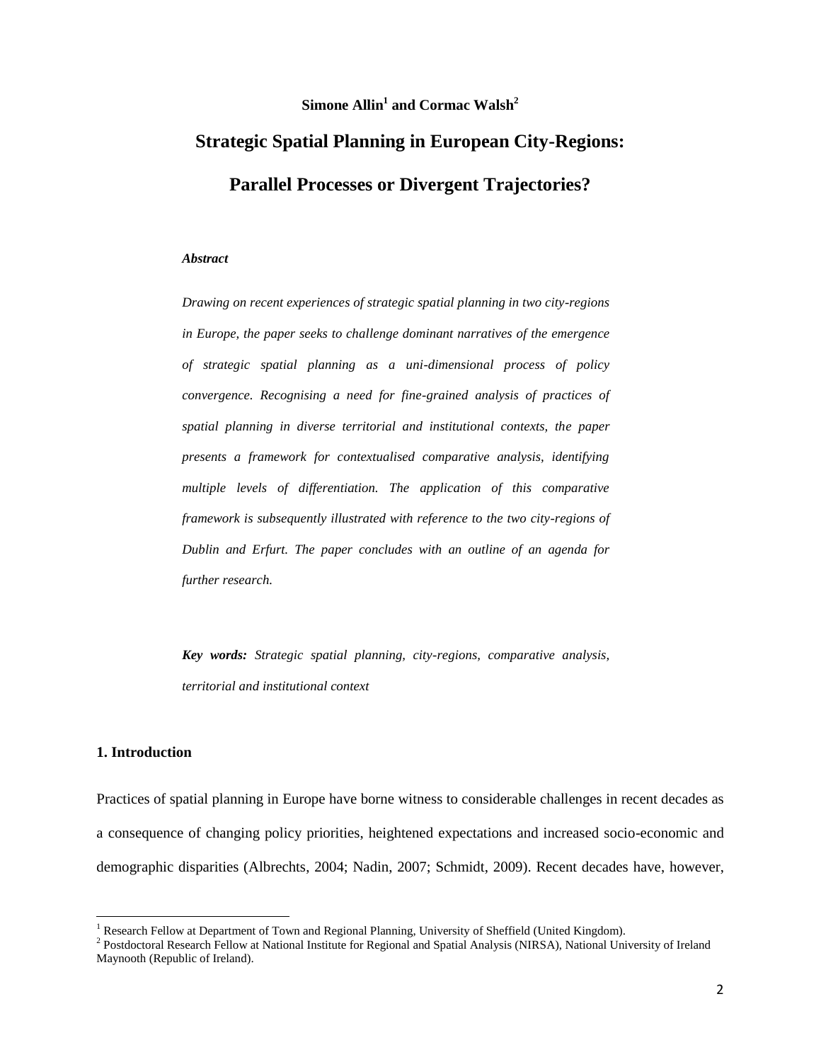# **Simone Allin<sup>1</sup> and Cormac Walsh<sup>2</sup>**

# **Strategic Spatial Planning in European City-Regions: Parallel Processes or Divergent Trajectories?**

#### *Abstract*

*Drawing on recent experiences of strategic spatial planning in two city-regions in Europe, the paper seeks to challenge dominant narratives of the emergence of strategic spatial planning as a uni-dimensional process of policy convergence. Recognising a need for fine-grained analysis of practices of spatial planning in diverse territorial and institutional contexts, the paper presents a framework for contextualised comparative analysis, identifying multiple levels of differentiation. The application of this comparative framework is subsequently illustrated with reference to the two city-regions of Dublin and Erfurt. The paper concludes with an outline of an agenda for further research.* 

*Key words: Strategic spatial planning, city-regions, comparative analysis, territorial and institutional context*

#### **1. Introduction**

l

Practices of spatial planning in Europe have borne witness to considerable challenges in recent decades as a consequence of changing policy priorities, heightened expectations and increased socio-economic and demographic disparities (Albrechts, 2004; Nadin, 2007; Schmidt, 2009). Recent decades have, however,

<sup>&</sup>lt;sup>1</sup> Research Fellow at Department of Town and Regional Planning, University of Sheffield (United Kingdom).

<sup>&</sup>lt;sup>2</sup> Postdoctoral Research Fellow at National Institute for Regional and Spatial Analysis (NIRSA), National University of Ireland Maynooth (Republic of Ireland).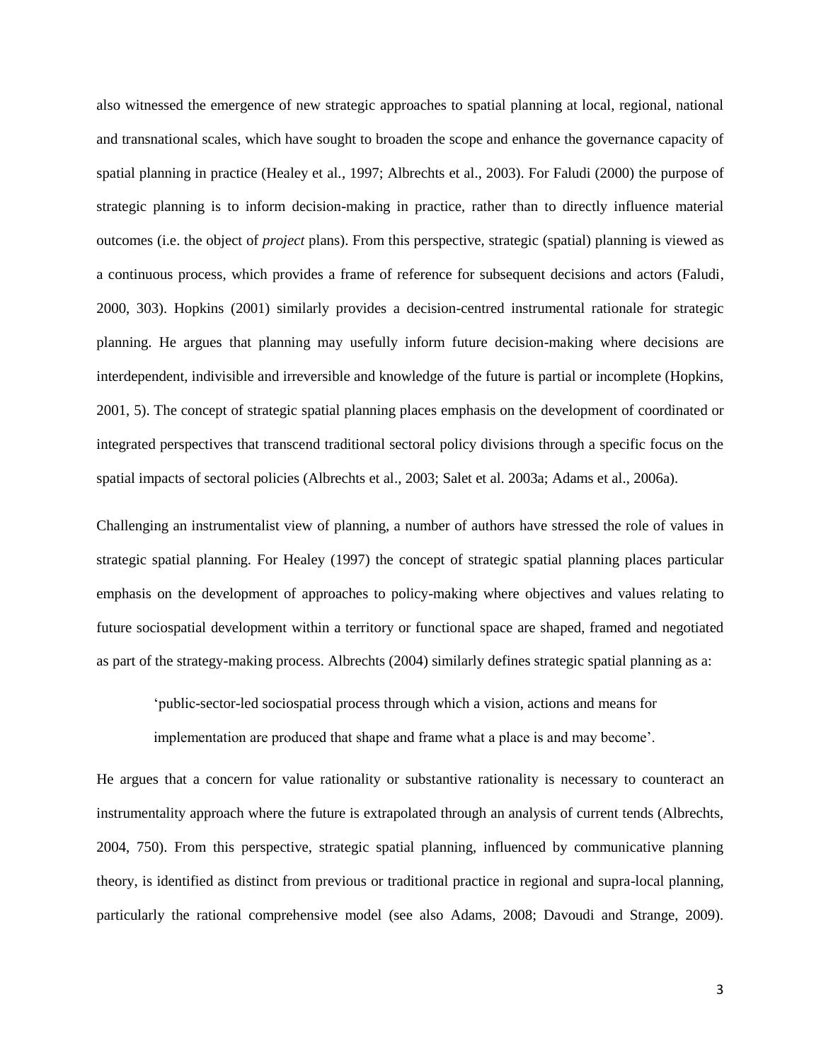also witnessed the emergence of new strategic approaches to spatial planning at local, regional, national and transnational scales, which have sought to broaden the scope and enhance the governance capacity of spatial planning in practice (Healey et al., 1997; Albrechts et al., 2003). For Faludi (2000) the purpose of strategic planning is to inform decision-making in practice, rather than to directly influence material outcomes (i.e. the object of *project* plans). From this perspective, strategic (spatial) planning is viewed as a continuous process, which provides a frame of reference for subsequent decisions and actors (Faludi, 2000, 303). Hopkins (2001) similarly provides a decision-centred instrumental rationale for strategic planning. He argues that planning may usefully inform future decision-making where decisions are interdependent, indivisible and irreversible and knowledge of the future is partial or incomplete (Hopkins, 2001, 5). The concept of strategic spatial planning places emphasis on the development of coordinated or integrated perspectives that transcend traditional sectoral policy divisions through a specific focus on the spatial impacts of sectoral policies (Albrechts et al., 2003; Salet et al. 2003a; Adams et al., 2006a).

Challenging an instrumentalist view of planning, a number of authors have stressed the role of values in strategic spatial planning. For Healey (1997) the concept of strategic spatial planning places particular emphasis on the development of approaches to policy-making where objectives and values relating to future sociospatial development within a territory or functional space are shaped, framed and negotiated as part of the strategy-making process. Albrechts (2004) similarly defines strategic spatial planning as a:

'public-sector-led sociospatial process through which a vision, actions and means for

implementation are produced that shape and frame what a place is and may become'.

He argues that a concern for value rationality or substantive rationality is necessary to counteract an instrumentality approach where the future is extrapolated through an analysis of current tends (Albrechts, 2004, 750). From this perspective, strategic spatial planning, influenced by communicative planning theory, is identified as distinct from previous or traditional practice in regional and supra-local planning, particularly the rational comprehensive model (see also Adams, 2008; Davoudi and Strange, 2009).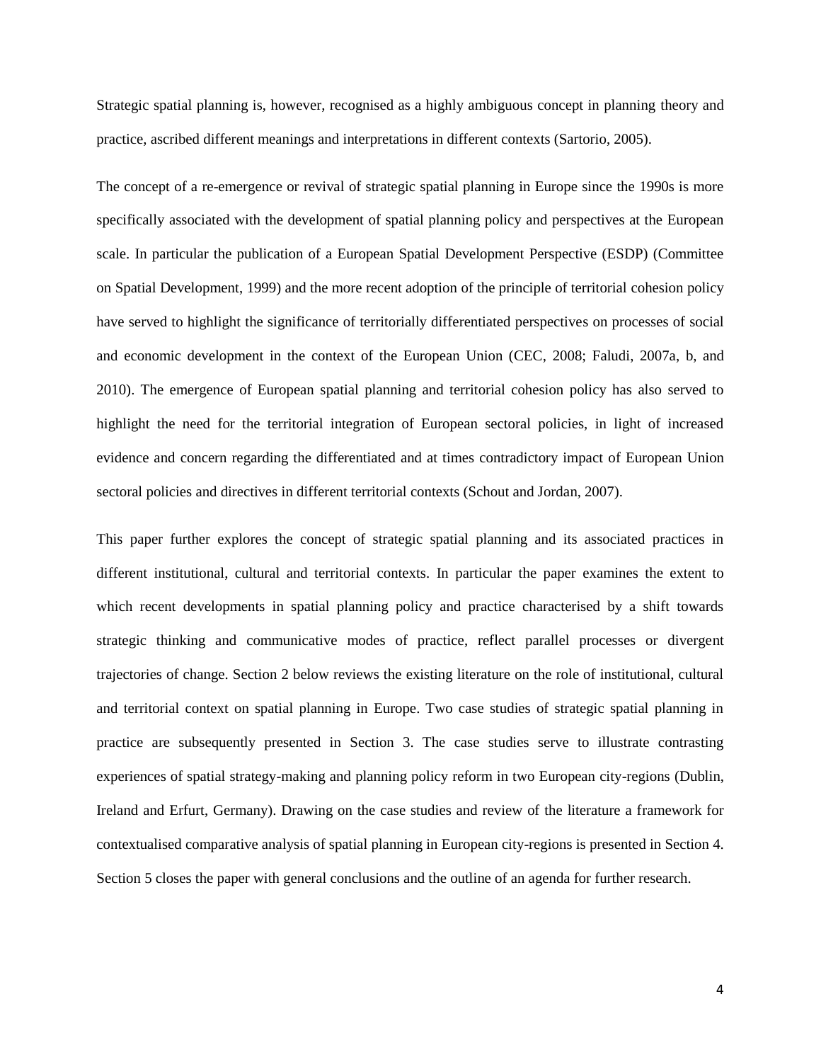Strategic spatial planning is, however, recognised as a highly ambiguous concept in planning theory and practice, ascribed different meanings and interpretations in different contexts (Sartorio, 2005).

The concept of a re-emergence or revival of strategic spatial planning in Europe since the 1990s is more specifically associated with the development of spatial planning policy and perspectives at the European scale. In particular the publication of a European Spatial Development Perspective (ESDP) (Committee on Spatial Development, 1999) and the more recent adoption of the principle of territorial cohesion policy have served to highlight the significance of territorially differentiated perspectives on processes of social and economic development in the context of the European Union (CEC, 2008; Faludi, 2007a, b, and 2010). The emergence of European spatial planning and territorial cohesion policy has also served to highlight the need for the territorial integration of European sectoral policies, in light of increased evidence and concern regarding the differentiated and at times contradictory impact of European Union sectoral policies and directives in different territorial contexts (Schout and Jordan, 2007).

This paper further explores the concept of strategic spatial planning and its associated practices in different institutional, cultural and territorial contexts. In particular the paper examines the extent to which recent developments in spatial planning policy and practice characterised by a shift towards strategic thinking and communicative modes of practice, reflect parallel processes or divergent trajectories of change. Section 2 below reviews the existing literature on the role of institutional, cultural and territorial context on spatial planning in Europe. Two case studies of strategic spatial planning in practice are subsequently presented in Section 3. The case studies serve to illustrate contrasting experiences of spatial strategy-making and planning policy reform in two European city-regions (Dublin, Ireland and Erfurt, Germany). Drawing on the case studies and review of the literature a framework for contextualised comparative analysis of spatial planning in European city-regions is presented in Section 4. Section 5 closes the paper with general conclusions and the outline of an agenda for further research.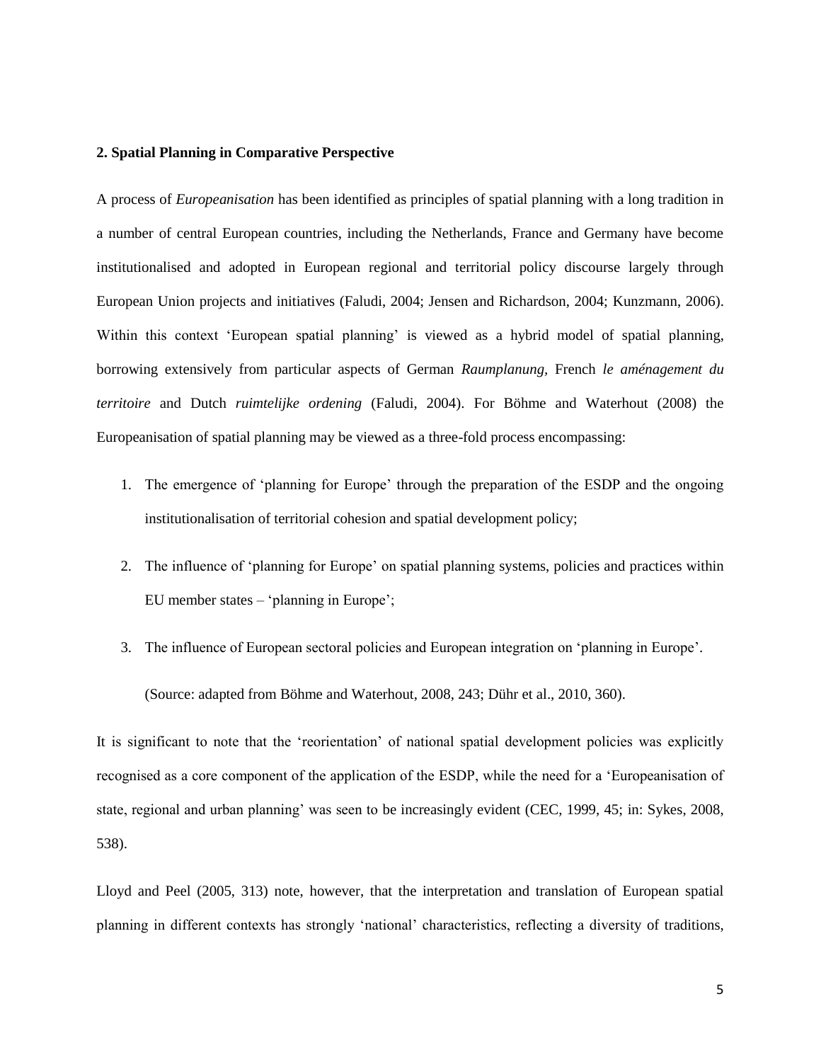#### **2. Spatial Planning in Comparative Perspective**

A process of *Europeanisation* has been identified as principles of spatial planning with a long tradition in a number of central European countries, including the Netherlands, France and Germany have become institutionalised and adopted in European regional and territorial policy discourse largely through European Union projects and initiatives (Faludi, 2004; Jensen and Richardson, 2004; Kunzmann, 2006). Within this context 'European spatial planning' is viewed as a hybrid model of spatial planning, borrowing extensively from particular aspects of German *Raumplanung,* French *le aménagement du territoire* and Dutch *ruimtelijke ordening* (Faludi, 2004). For Böhme and Waterhout (2008) the Europeanisation of spatial planning may be viewed as a three-fold process encompassing:

- 1. The emergence of 'planning for Europe' through the preparation of the ESDP and the ongoing institutionalisation of territorial cohesion and spatial development policy;
- 2. The influence of 'planning for Europe' on spatial planning systems, policies and practices within EU member states – 'planning in Europe';
- 3. The influence of European sectoral policies and European integration on 'planning in Europe'.

(Source: adapted from Böhme and Waterhout, 2008, 243; Dühr et al., 2010, 360).

It is significant to note that the 'reorientation' of national spatial development policies was explicitly recognised as a core component of the application of the ESDP, while the need for a 'Europeanisation of state, regional and urban planning' was seen to be increasingly evident (CEC, 1999, 45; in: Sykes, 2008, 538).

Lloyd and Peel (2005, 313) note, however, that the interpretation and translation of European spatial planning in different contexts has strongly 'national' characteristics, reflecting a diversity of traditions,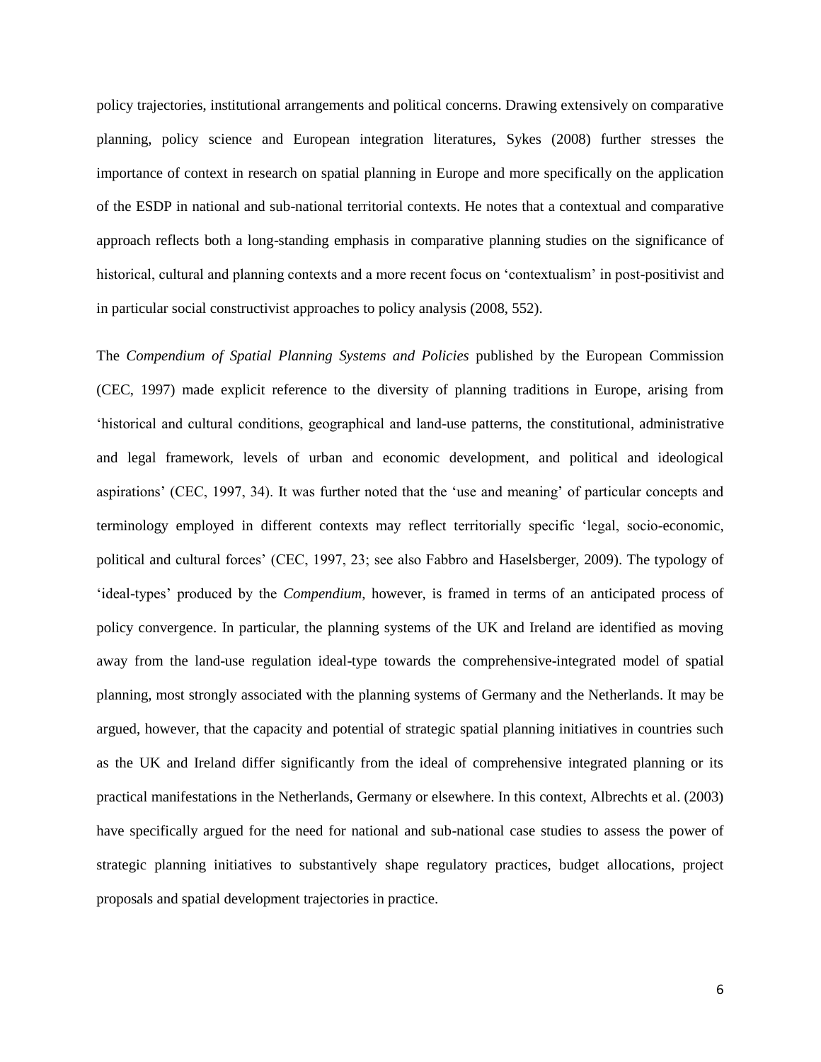policy trajectories, institutional arrangements and political concerns. Drawing extensively on comparative planning, policy science and European integration literatures, Sykes (2008) further stresses the importance of context in research on spatial planning in Europe and more specifically on the application of the ESDP in national and sub-national territorial contexts. He notes that a contextual and comparative approach reflects both a long-standing emphasis in comparative planning studies on the significance of historical, cultural and planning contexts and a more recent focus on 'contextualism' in post-positivist and in particular social constructivist approaches to policy analysis (2008, 552).

The *Compendium of Spatial Planning Systems and Policies* published by the European Commission (CEC, 1997) made explicit reference to the diversity of planning traditions in Europe, arising from 'historical and cultural conditions, geographical and land-use patterns, the constitutional, administrative and legal framework, levels of urban and economic development, and political and ideological aspirations' (CEC, 1997, 34). It was further noted that the 'use and meaning' of particular concepts and terminology employed in different contexts may reflect territorially specific 'legal, socio-economic, political and cultural forces' (CEC, 1997, 23; see also Fabbro and Haselsberger, 2009). The typology of 'ideal-types' produced by the *Compendium*, however, is framed in terms of an anticipated process of policy convergence. In particular, the planning systems of the UK and Ireland are identified as moving away from the land-use regulation ideal-type towards the comprehensive-integrated model of spatial planning, most strongly associated with the planning systems of Germany and the Netherlands. It may be argued, however, that the capacity and potential of strategic spatial planning initiatives in countries such as the UK and Ireland differ significantly from the ideal of comprehensive integrated planning or its practical manifestations in the Netherlands, Germany or elsewhere. In this context, Albrechts et al. (2003) have specifically argued for the need for national and sub-national case studies to assess the power of strategic planning initiatives to substantively shape regulatory practices, budget allocations, project proposals and spatial development trajectories in practice.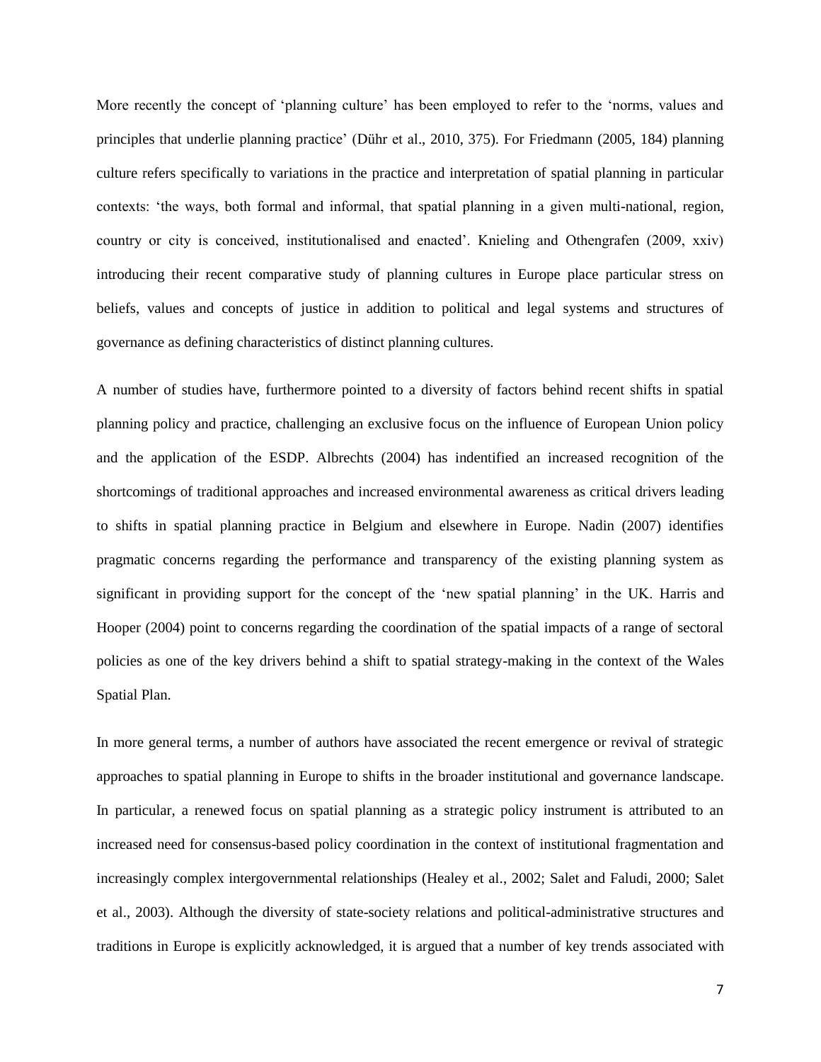More recently the concept of 'planning culture' has been employed to refer to the 'norms, values and principles that underlie planning practice' (Dühr et al., 2010, 375). For Friedmann (2005, 184) planning culture refers specifically to variations in the practice and interpretation of spatial planning in particular contexts: 'the ways, both formal and informal, that spatial planning in a given multi-national, region, country or city is conceived, institutionalised and enacted'. Knieling and Othengrafen (2009, xxiv) introducing their recent comparative study of planning cultures in Europe place particular stress on beliefs, values and concepts of justice in addition to political and legal systems and structures of governance as defining characteristics of distinct planning cultures.

A number of studies have, furthermore pointed to a diversity of factors behind recent shifts in spatial planning policy and practice, challenging an exclusive focus on the influence of European Union policy and the application of the ESDP. Albrechts (2004) has indentified an increased recognition of the shortcomings of traditional approaches and increased environmental awareness as critical drivers leading to shifts in spatial planning practice in Belgium and elsewhere in Europe. Nadin (2007) identifies pragmatic concerns regarding the performance and transparency of the existing planning system as significant in providing support for the concept of the 'new spatial planning' in the UK. Harris and Hooper (2004) point to concerns regarding the coordination of the spatial impacts of a range of sectoral policies as one of the key drivers behind a shift to spatial strategy-making in the context of the Wales Spatial Plan.

In more general terms, a number of authors have associated the recent emergence or revival of strategic approaches to spatial planning in Europe to shifts in the broader institutional and governance landscape. In particular, a renewed focus on spatial planning as a strategic policy instrument is attributed to an increased need for consensus-based policy coordination in the context of institutional fragmentation and increasingly complex intergovernmental relationships (Healey et al., 2002; Salet and Faludi, 2000; Salet et al., 2003). Although the diversity of state-society relations and political-administrative structures and traditions in Europe is explicitly acknowledged, it is argued that a number of key trends associated with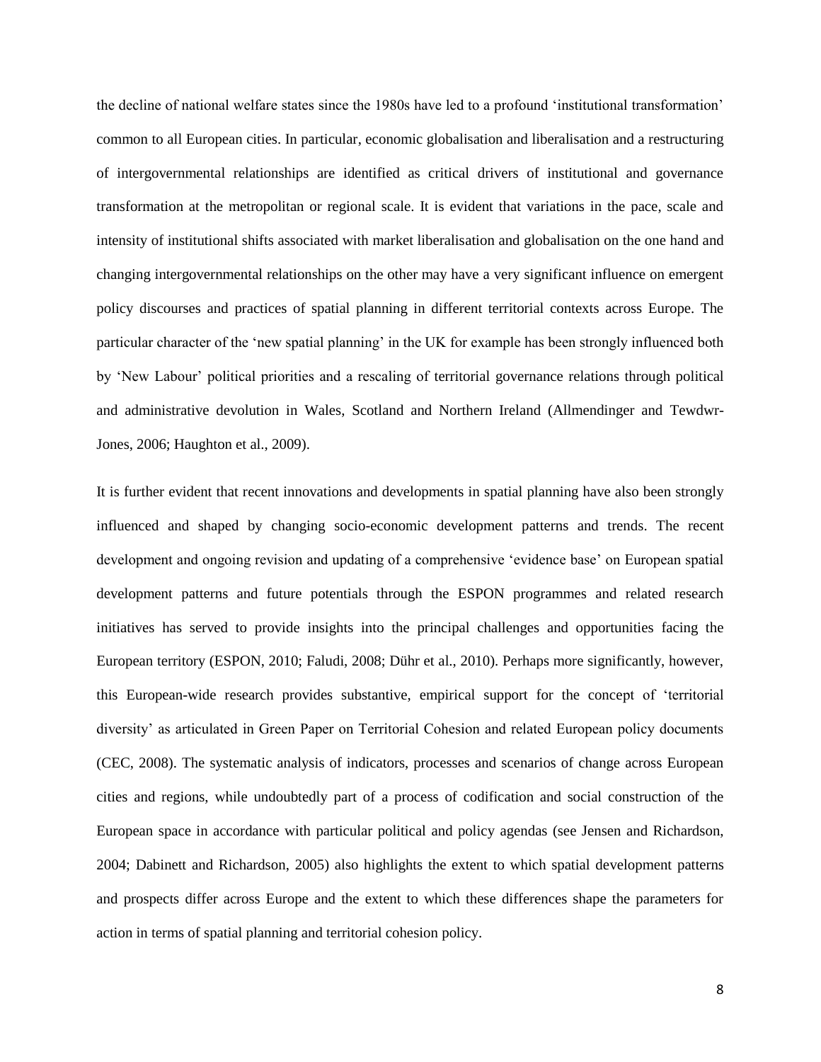the decline of national welfare states since the 1980s have led to a profound 'institutional transformation' common to all European cities. In particular, economic globalisation and liberalisation and a restructuring of intergovernmental relationships are identified as critical drivers of institutional and governance transformation at the metropolitan or regional scale. It is evident that variations in the pace, scale and intensity of institutional shifts associated with market liberalisation and globalisation on the one hand and changing intergovernmental relationships on the other may have a very significant influence on emergent policy discourses and practices of spatial planning in different territorial contexts across Europe. The particular character of the 'new spatial planning' in the UK for example has been strongly influenced both by 'New Labour' political priorities and a rescaling of territorial governance relations through political and administrative devolution in Wales, Scotland and Northern Ireland (Allmendinger and Tewdwr-Jones, 2006; Haughton et al., 2009).

It is further evident that recent innovations and developments in spatial planning have also been strongly influenced and shaped by changing socio-economic development patterns and trends. The recent development and ongoing revision and updating of a comprehensive 'evidence base' on European spatial development patterns and future potentials through the ESPON programmes and related research initiatives has served to provide insights into the principal challenges and opportunities facing the European territory (ESPON, 2010; Faludi, 2008; Dühr et al., 2010). Perhaps more significantly, however, this European-wide research provides substantive, empirical support for the concept of 'territorial diversity' as articulated in Green Paper on Territorial Cohesion and related European policy documents (CEC, 2008). The systematic analysis of indicators, processes and scenarios of change across European cities and regions, while undoubtedly part of a process of codification and social construction of the European space in accordance with particular political and policy agendas (see Jensen and Richardson, 2004; Dabinett and Richardson, 2005) also highlights the extent to which spatial development patterns and prospects differ across Europe and the extent to which these differences shape the parameters for action in terms of spatial planning and territorial cohesion policy.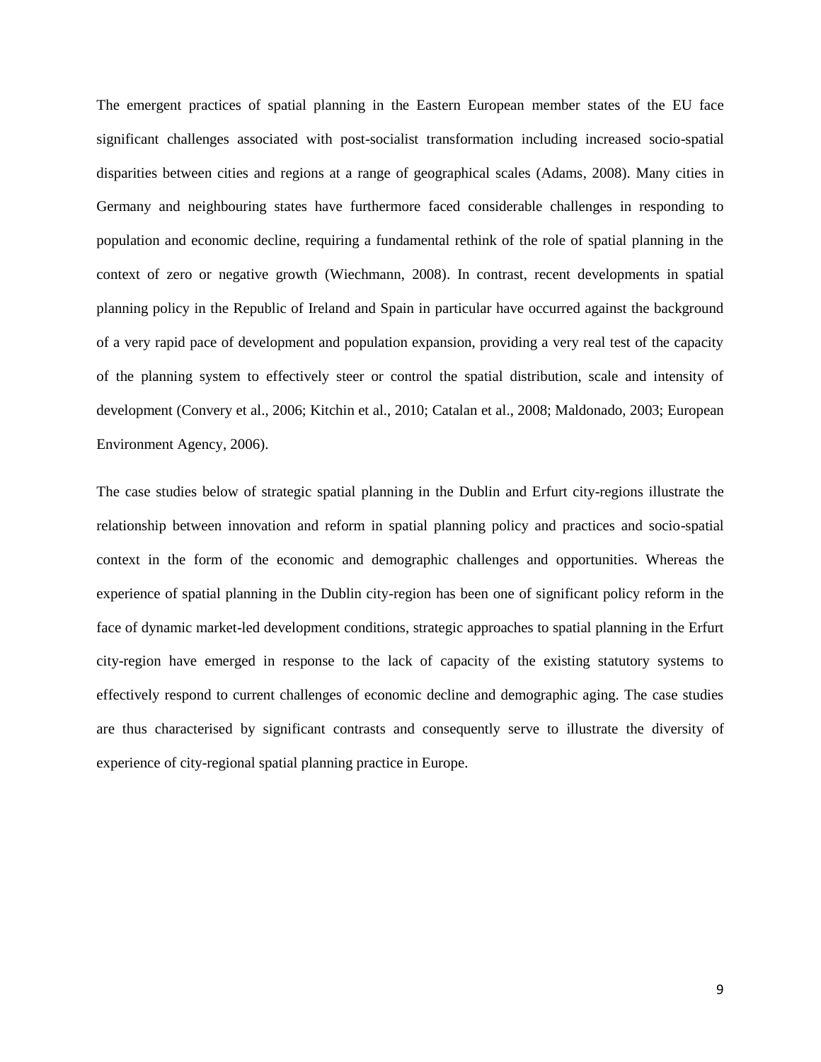The emergent practices of spatial planning in the Eastern European member states of the EU face significant challenges associated with post-socialist transformation including increased socio-spatial disparities between cities and regions at a range of geographical scales (Adams, 2008). Many cities in Germany and neighbouring states have furthermore faced considerable challenges in responding to population and economic decline, requiring a fundamental rethink of the role of spatial planning in the context of zero or negative growth (Wiechmann, 2008). In contrast, recent developments in spatial planning policy in the Republic of Ireland and Spain in particular have occurred against the background of a very rapid pace of development and population expansion, providing a very real test of the capacity of the planning system to effectively steer or control the spatial distribution, scale and intensity of development (Convery et al., 2006; Kitchin et al., 2010; Catalan et al., 2008; Maldonado, 2003; European Environment Agency, 2006).

The case studies below of strategic spatial planning in the Dublin and Erfurt city-regions illustrate the relationship between innovation and reform in spatial planning policy and practices and socio-spatial context in the form of the economic and demographic challenges and opportunities. Whereas the experience of spatial planning in the Dublin city-region has been one of significant policy reform in the face of dynamic market-led development conditions, strategic approaches to spatial planning in the Erfurt city-region have emerged in response to the lack of capacity of the existing statutory systems to effectively respond to current challenges of economic decline and demographic aging. The case studies are thus characterised by significant contrasts and consequently serve to illustrate the diversity of experience of city-regional spatial planning practice in Europe.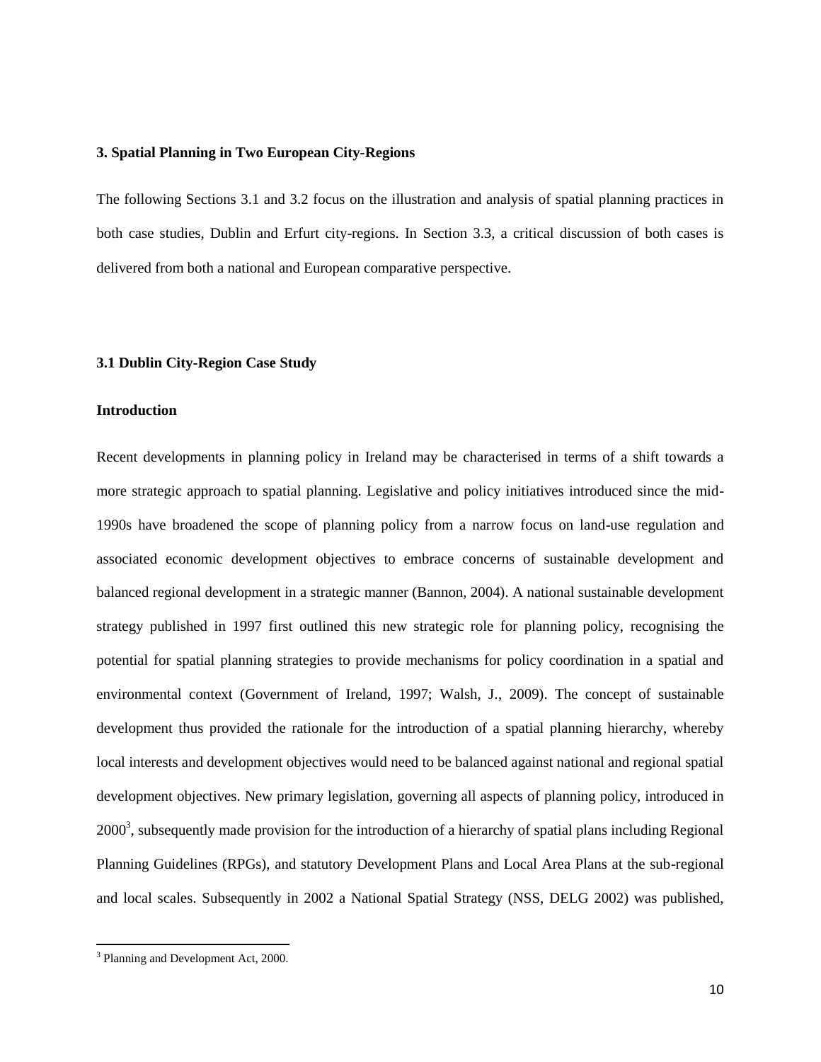#### **3. Spatial Planning in Two European City-Regions**

The following Sections 3.1 and 3.2 focus on the illustration and analysis of spatial planning practices in both case studies, Dublin and Erfurt city-regions. In Section 3.3, a critical discussion of both cases is delivered from both a national and European comparative perspective.

## **3.1 Dublin City-Region Case Study**

#### **Introduction**

Recent developments in planning policy in Ireland may be characterised in terms of a shift towards a more strategic approach to spatial planning. Legislative and policy initiatives introduced since the mid-1990s have broadened the scope of planning policy from a narrow focus on land-use regulation and associated economic development objectives to embrace concerns of sustainable development and balanced regional development in a strategic manner (Bannon, 2004). A national sustainable development strategy published in 1997 first outlined this new strategic role for planning policy, recognising the potential for spatial planning strategies to provide mechanisms for policy coordination in a spatial and environmental context (Government of Ireland, 1997; Walsh, J., 2009). The concept of sustainable development thus provided the rationale for the introduction of a spatial planning hierarchy, whereby local interests and development objectives would need to be balanced against national and regional spatial development objectives. New primary legislation, governing all aspects of planning policy, introduced in  $2000<sup>3</sup>$ , subsequently made provision for the introduction of a hierarchy of spatial plans including Regional Planning Guidelines (RPGs), and statutory Development Plans and Local Area Plans at the sub-regional and local scales. Subsequently in 2002 a National Spatial Strategy (NSS, DELG 2002) was published,

 $\overline{\phantom{a}}$ 

<sup>&</sup>lt;sup>3</sup> Planning and Development Act, 2000.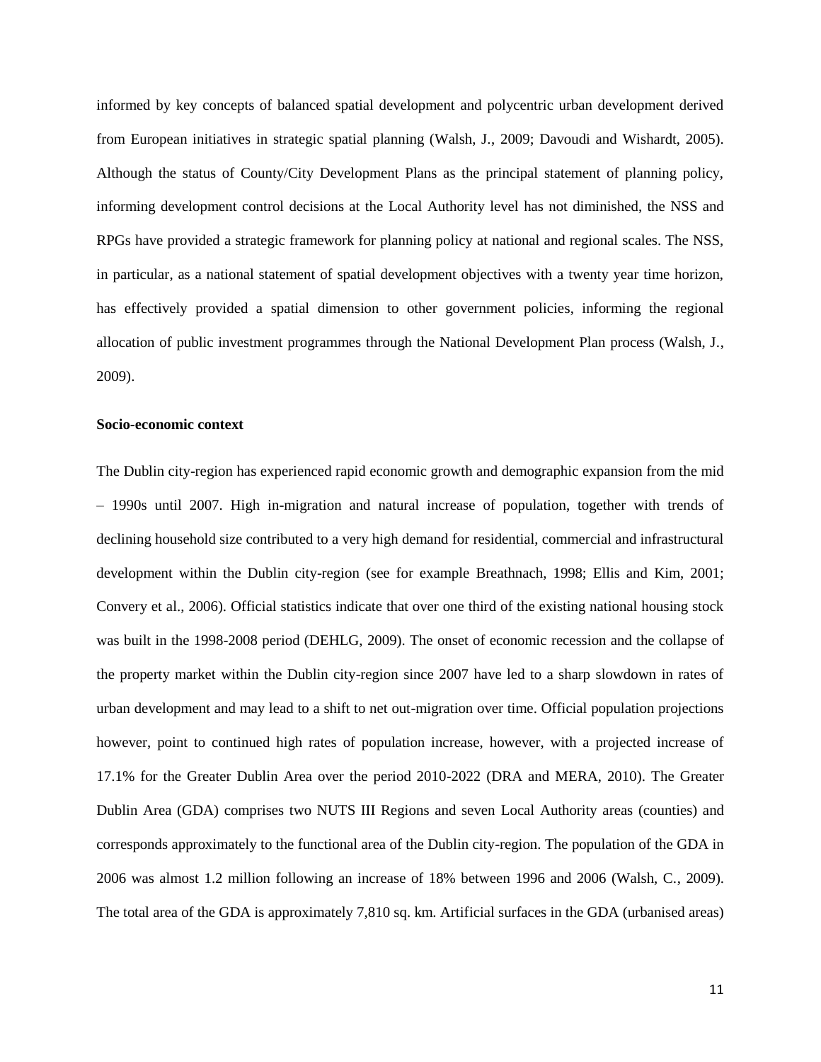informed by key concepts of balanced spatial development and polycentric urban development derived from European initiatives in strategic spatial planning (Walsh, J., 2009; Davoudi and Wishardt, 2005). Although the status of County/City Development Plans as the principal statement of planning policy, informing development control decisions at the Local Authority level has not diminished, the NSS and RPGs have provided a strategic framework for planning policy at national and regional scales. The NSS, in particular, as a national statement of spatial development objectives with a twenty year time horizon, has effectively provided a spatial dimension to other government policies, informing the regional allocation of public investment programmes through the National Development Plan process (Walsh, J., 2009).

#### **Socio-economic context**

The Dublin city-region has experienced rapid economic growth and demographic expansion from the mid – 1990s until 2007. High in-migration and natural increase of population, together with trends of declining household size contributed to a very high demand for residential, commercial and infrastructural development within the Dublin city-region (see for example Breathnach, 1998; Ellis and Kim, 2001; Convery et al., 2006). Official statistics indicate that over one third of the existing national housing stock was built in the 1998-2008 period (DEHLG, 2009). The onset of economic recession and the collapse of the property market within the Dublin city-region since 2007 have led to a sharp slowdown in rates of urban development and may lead to a shift to net out-migration over time. Official population projections however, point to continued high rates of population increase, however, with a projected increase of 17.1% for the Greater Dublin Area over the period 2010-2022 (DRA and MERA, 2010). The Greater Dublin Area (GDA) comprises two NUTS III Regions and seven Local Authority areas (counties) and corresponds approximately to the functional area of the Dublin city-region. The population of the GDA in 2006 was almost 1.2 million following an increase of 18% between 1996 and 2006 (Walsh, C., 2009). The total area of the GDA is approximately 7,810 sq. km. Artificial surfaces in the GDA (urbanised areas)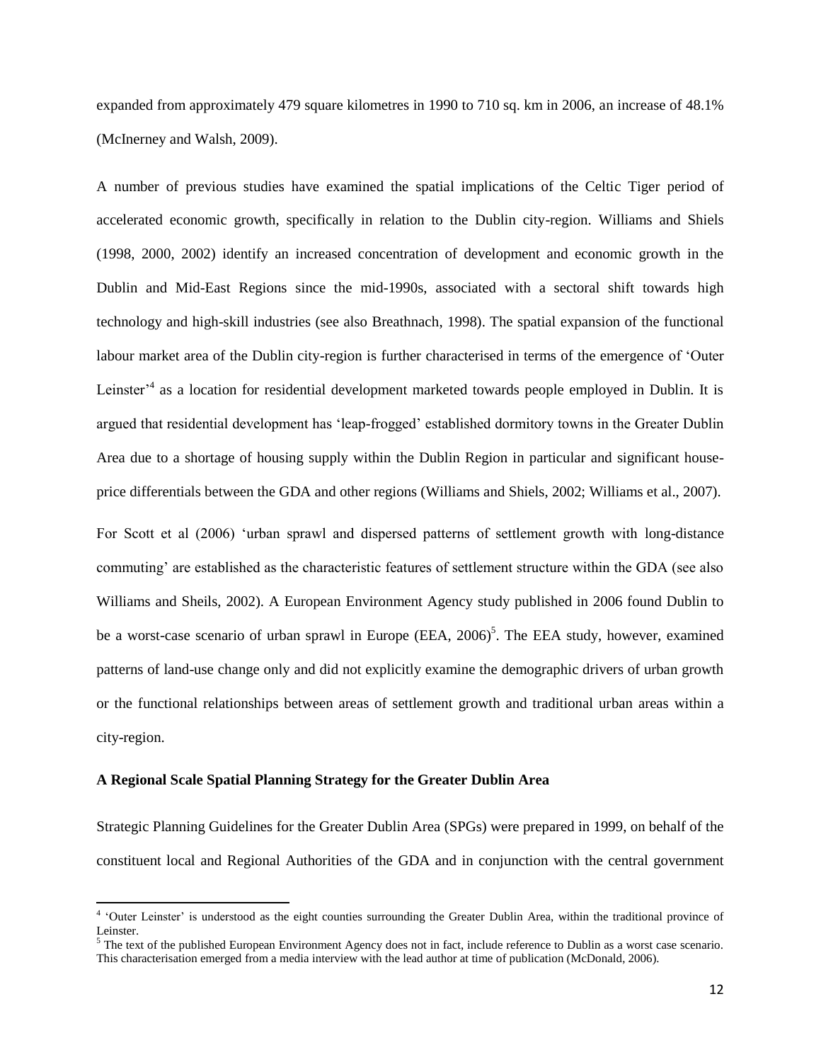expanded from approximately 479 square kilometres in 1990 to 710 sq. km in 2006, an increase of 48.1% (McInerney and Walsh, 2009).

A number of previous studies have examined the spatial implications of the Celtic Tiger period of accelerated economic growth, specifically in relation to the Dublin city-region. Williams and Shiels (1998, 2000, 2002) identify an increased concentration of development and economic growth in the Dublin and Mid-East Regions since the mid-1990s, associated with a sectoral shift towards high technology and high-skill industries (see also Breathnach, 1998). The spatial expansion of the functional labour market area of the Dublin city-region is further characterised in terms of the emergence of 'Outer Leinster<sup>,4</sup> as a location for residential development marketed towards people employed in Dublin. It is argued that residential development has 'leap-frogged' established dormitory towns in the Greater Dublin Area due to a shortage of housing supply within the Dublin Region in particular and significant houseprice differentials between the GDA and other regions (Williams and Shiels, 2002; Williams et al., 2007).

For Scott et al (2006) 'urban sprawl and dispersed patterns of settlement growth with long-distance commuting' are established as the characteristic features of settlement structure within the GDA (see also Williams and Sheils, 2002). A European Environment Agency study published in 2006 found Dublin to be a worst-case scenario of urban sprawl in Europe (EEA, 2006)<sup>5</sup>. The EEA study, however, examined patterns of land-use change only and did not explicitly examine the demographic drivers of urban growth or the functional relationships between areas of settlement growth and traditional urban areas within a city-region.

#### **A Regional Scale Spatial Planning Strategy for the Greater Dublin Area**

Strategic Planning Guidelines for the Greater Dublin Area (SPGs) were prepared in 1999, on behalf of the constituent local and Regional Authorities of the GDA and in conjunction with the central government

 4 'Outer Leinster' is understood as the eight counties surrounding the Greater Dublin Area, within the traditional province of Leinster.

 $<sup>5</sup>$  The text of the published European Environment Agency does not in fact, include reference to Dublin as a worst case scenario.</sup> This characterisation emerged from a media interview with the lead author at time of publication (McDonald, 2006).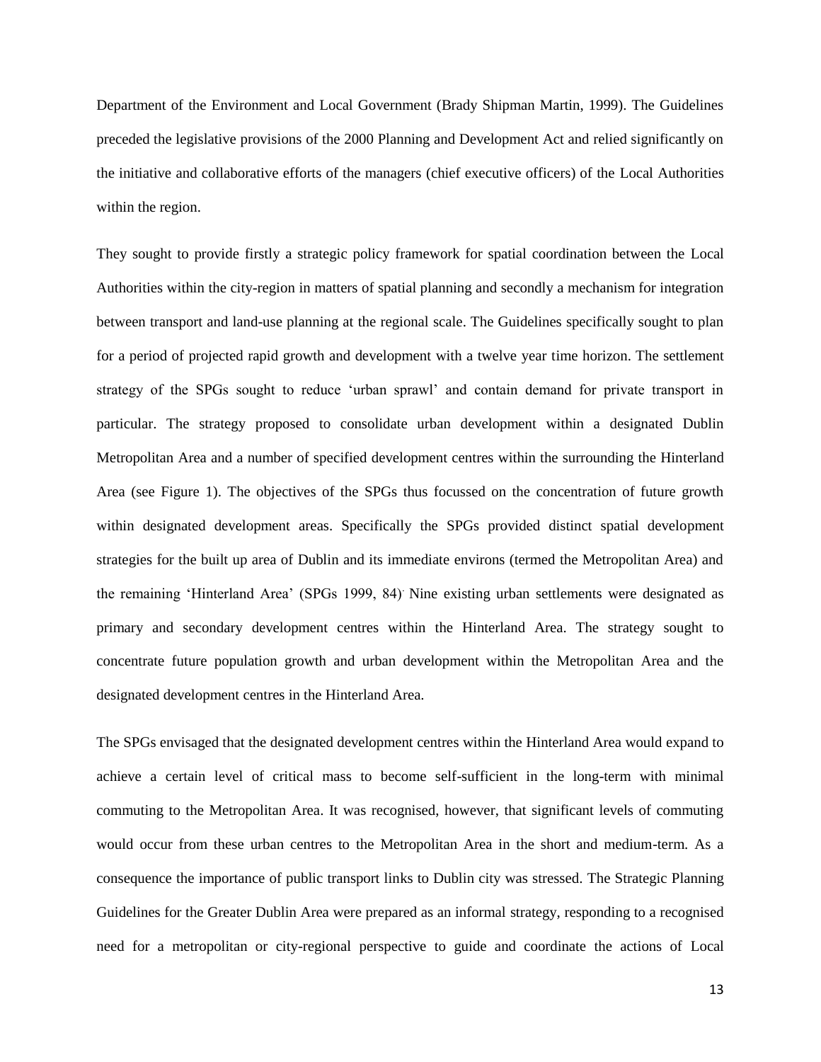Department of the Environment and Local Government (Brady Shipman Martin, 1999). The Guidelines preceded the legislative provisions of the 2000 Planning and Development Act and relied significantly on the initiative and collaborative efforts of the managers (chief executive officers) of the Local Authorities within the region.

They sought to provide firstly a strategic policy framework for spatial coordination between the Local Authorities within the city-region in matters of spatial planning and secondly a mechanism for integration between transport and land-use planning at the regional scale. The Guidelines specifically sought to plan for a period of projected rapid growth and development with a twelve year time horizon. The settlement strategy of the SPGs sought to reduce 'urban sprawl' and contain demand for private transport in particular. The strategy proposed to consolidate urban development within a designated Dublin Metropolitan Area and a number of specified development centres within the surrounding the Hinterland Area (see Figure 1). The objectives of the SPGs thus focussed on the concentration of future growth within designated development areas. Specifically the SPGs provided distinct spatial development strategies for the built up area of Dublin and its immediate environs (termed the Metropolitan Area) and the remaining 'Hinterland Area' (SPGs 1999, 84). Nine existing urban settlements were designated as primary and secondary development centres within the Hinterland Area. The strategy sought to concentrate future population growth and urban development within the Metropolitan Area and the designated development centres in the Hinterland Area.

The SPGs envisaged that the designated development centres within the Hinterland Area would expand to achieve a certain level of critical mass to become self-sufficient in the long-term with minimal commuting to the Metropolitan Area. It was recognised, however, that significant levels of commuting would occur from these urban centres to the Metropolitan Area in the short and medium-term. As a consequence the importance of public transport links to Dublin city was stressed. The Strategic Planning Guidelines for the Greater Dublin Area were prepared as an informal strategy, responding to a recognised need for a metropolitan or city-regional perspective to guide and coordinate the actions of Local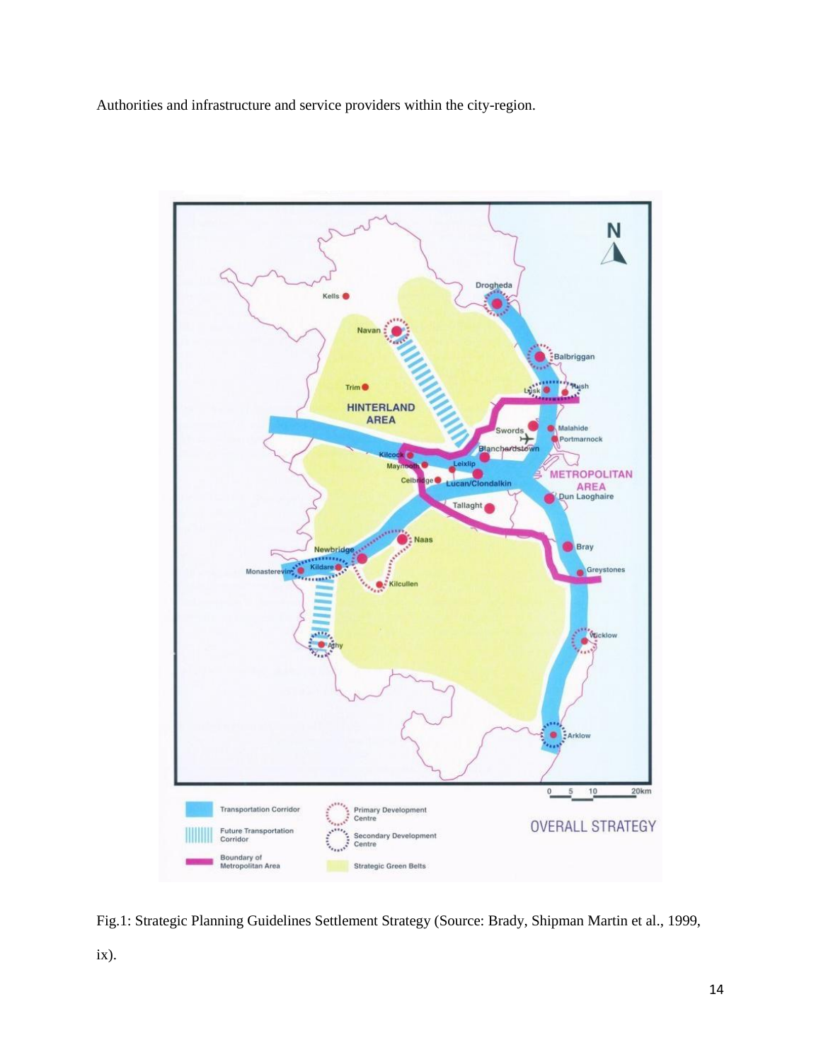Authorities and infrastructure and service providers within the city-region.



Fig.1: Strategic Planning Guidelines Settlement Strategy (Source: Brady, Shipman Martin et al., 1999, ix).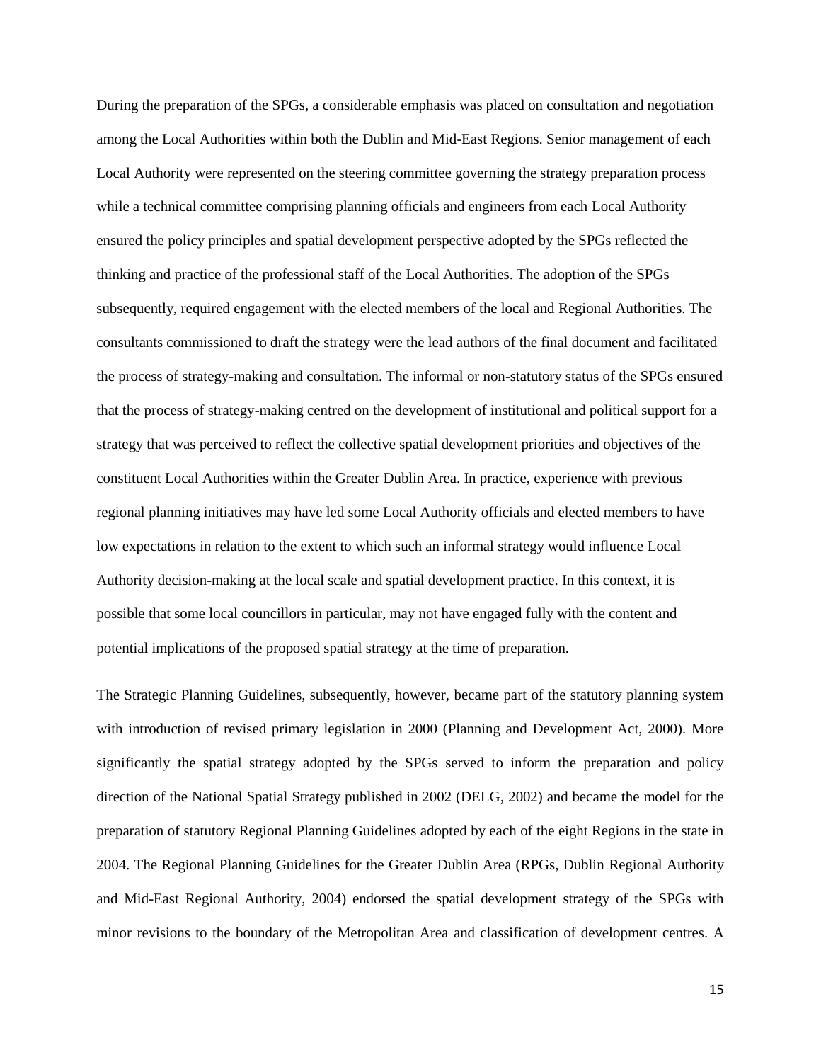During the preparation of the SPGs, a considerable emphasis was placed on consultation and negotiation among the Local Authorities within both the Dublin and Mid-East Regions. Senior management of each Local Authority were represented on the steering committee governing the strategy preparation process while a technical committee comprising planning officials and engineers from each Local Authority ensured the policy principles and spatial development perspective adopted by the SPGs reflected the thinking and practice of the professional staff of the Local Authorities. The adoption of the SPGs subsequently, required engagement with the elected members of the local and Regional Authorities. The consultants commissioned to draft the strategy were the lead authors of the final document and facilitated the process of strategy-making and consultation. The informal or non-statutory status of the SPGs ensured that the process of strategy-making centred on the development of institutional and political support for a strategy that was perceived to reflect the collective spatial development priorities and objectives of the constituent Local Authorities within the Greater Dublin Area. In practice, experience with previous regional planning initiatives may have led some Local Authority officials and elected members to have low expectations in relation to the extent to which such an informal strategy would influence Local Authority decision-making at the local scale and spatial development practice. In this context, it is possible that some local councillors in particular, may not have engaged fully with the content and potential implications of the proposed spatial strategy at the time of preparation.

The Strategic Planning Guidelines, subsequently, however, became part of the statutory planning system with introduction of revised primary legislation in 2000 (Planning and Development Act, 2000). More significantly the spatial strategy adopted by the SPGs served to inform the preparation and policy direction of the National Spatial Strategy published in 2002 (DELG, 2002) and became the model for the preparation of statutory Regional Planning Guidelines adopted by each of the eight Regions in the state in 2004. The Regional Planning Guidelines for the Greater Dublin Area (RPGs, Dublin Regional Authority and Mid-East Regional Authority, 2004) endorsed the spatial development strategy of the SPGs with minor revisions to the boundary of the Metropolitan Area and classification of development centres. A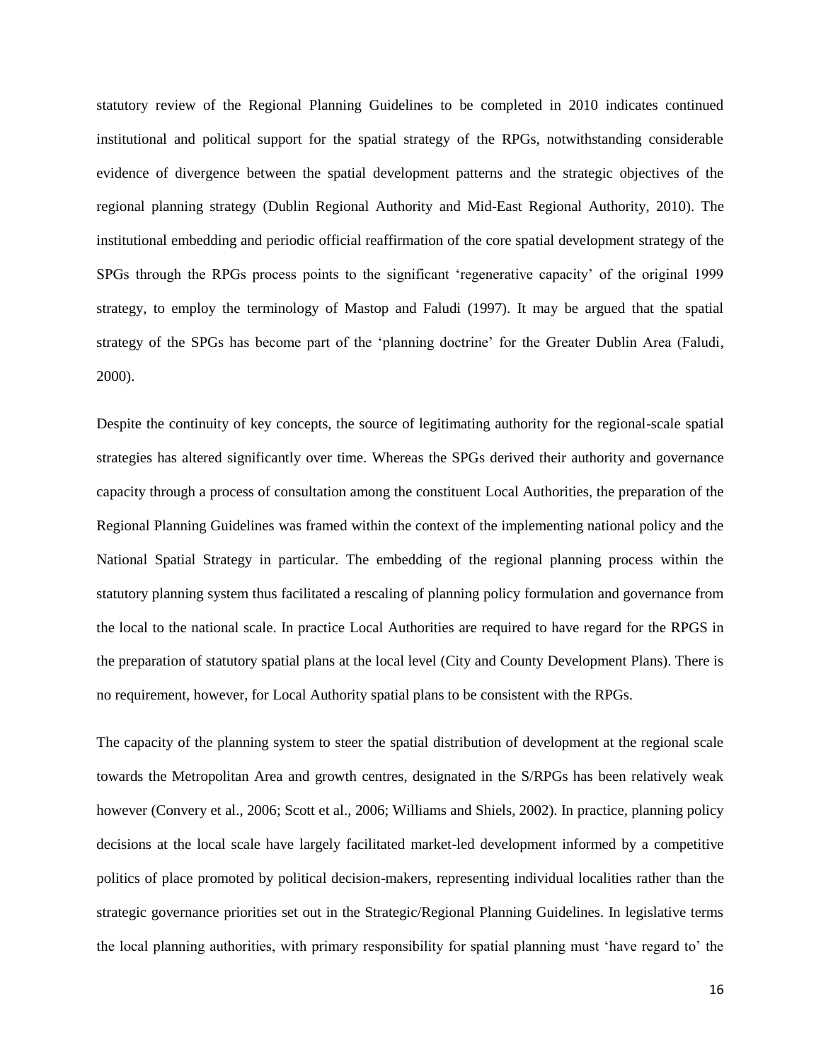statutory review of the Regional Planning Guidelines to be completed in 2010 indicates continued institutional and political support for the spatial strategy of the RPGs, notwithstanding considerable evidence of divergence between the spatial development patterns and the strategic objectives of the regional planning strategy (Dublin Regional Authority and Mid-East Regional Authority, 2010). The institutional embedding and periodic official reaffirmation of the core spatial development strategy of the SPGs through the RPGs process points to the significant 'regenerative capacity' of the original 1999 strategy, to employ the terminology of Mastop and Faludi (1997). It may be argued that the spatial strategy of the SPGs has become part of the 'planning doctrine' for the Greater Dublin Area (Faludi, 2000).

Despite the continuity of key concepts, the source of legitimating authority for the regional-scale spatial strategies has altered significantly over time. Whereas the SPGs derived their authority and governance capacity through a process of consultation among the constituent Local Authorities, the preparation of the Regional Planning Guidelines was framed within the context of the implementing national policy and the National Spatial Strategy in particular. The embedding of the regional planning process within the statutory planning system thus facilitated a rescaling of planning policy formulation and governance from the local to the national scale. In practice Local Authorities are required to have regard for the RPGS in the preparation of statutory spatial plans at the local level (City and County Development Plans). There is no requirement, however, for Local Authority spatial plans to be consistent with the RPGs.

The capacity of the planning system to steer the spatial distribution of development at the regional scale towards the Metropolitan Area and growth centres, designated in the S/RPGs has been relatively weak however (Convery et al., 2006; Scott et al., 2006; Williams and Shiels, 2002). In practice, planning policy decisions at the local scale have largely facilitated market-led development informed by a competitive politics of place promoted by political decision-makers, representing individual localities rather than the strategic governance priorities set out in the Strategic/Regional Planning Guidelines. In legislative terms the local planning authorities, with primary responsibility for spatial planning must 'have regard to' the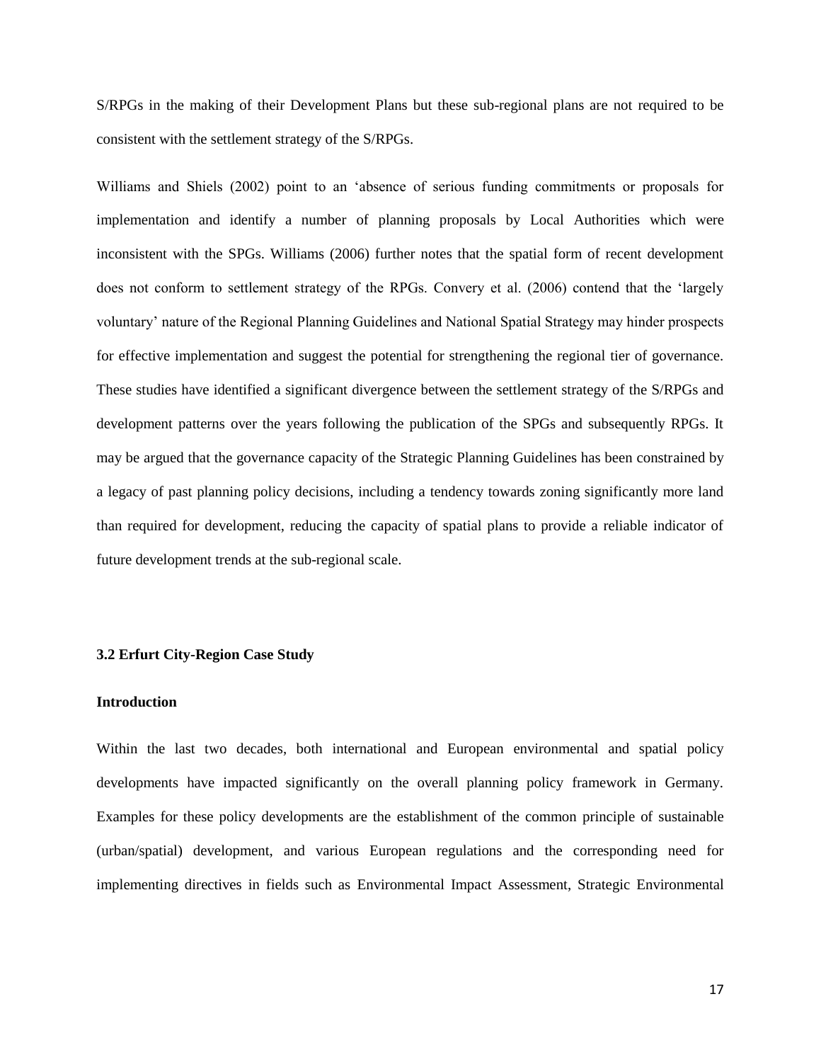S/RPGs in the making of their Development Plans but these sub-regional plans are not required to be consistent with the settlement strategy of the S/RPGs.

Williams and Shiels (2002) point to an 'absence of serious funding commitments or proposals for implementation and identify a number of planning proposals by Local Authorities which were inconsistent with the SPGs. Williams (2006) further notes that the spatial form of recent development does not conform to settlement strategy of the RPGs. Convery et al. (2006) contend that the 'largely voluntary' nature of the Regional Planning Guidelines and National Spatial Strategy may hinder prospects for effective implementation and suggest the potential for strengthening the regional tier of governance. These studies have identified a significant divergence between the settlement strategy of the S/RPGs and development patterns over the years following the publication of the SPGs and subsequently RPGs. It may be argued that the governance capacity of the Strategic Planning Guidelines has been constrained by a legacy of past planning policy decisions, including a tendency towards zoning significantly more land than required for development, reducing the capacity of spatial plans to provide a reliable indicator of future development trends at the sub-regional scale.

## **3.2 Erfurt City-Region Case Study**

#### **Introduction**

Within the last two decades, both international and European environmental and spatial policy developments have impacted significantly on the overall planning policy framework in Germany. Examples for these policy developments are the establishment of the common principle of sustainable (urban/spatial) development, and various European regulations and the corresponding need for implementing directives in fields such as Environmental Impact Assessment, Strategic Environmental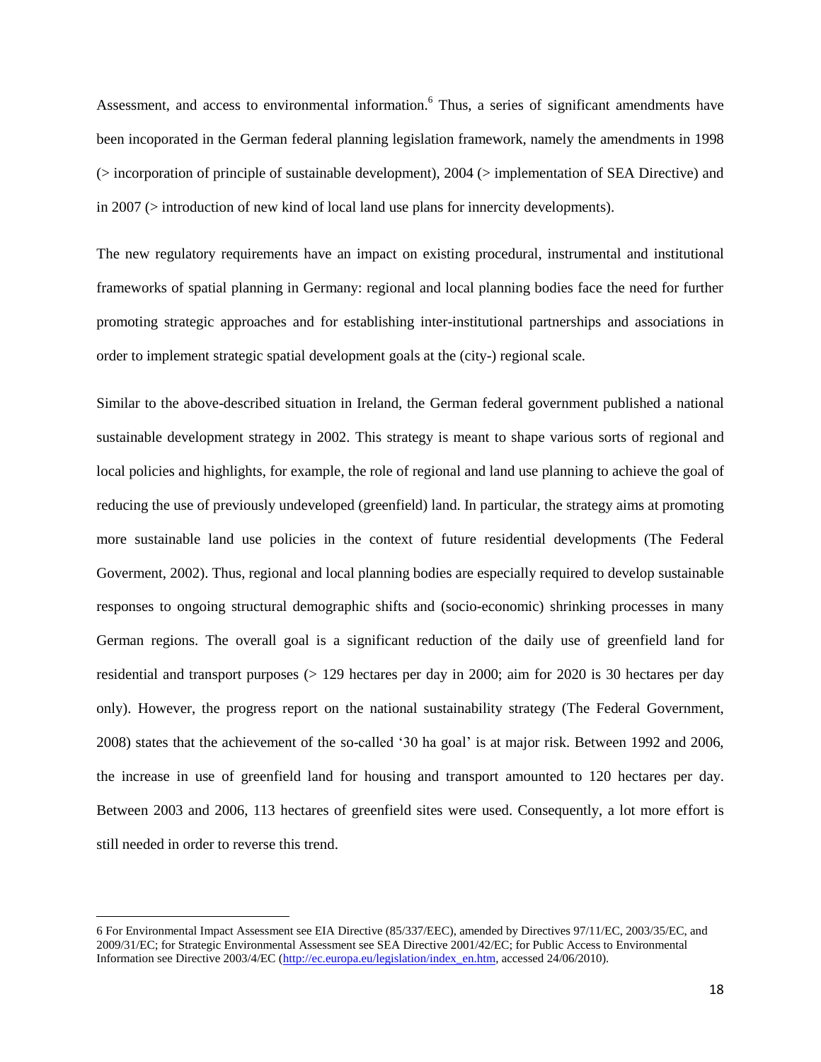Assessment, and access to environmental information. <sup>6</sup> Thus, a series of significant amendments have been incoporated in the German federal planning legislation framework, namely the amendments in 1998 (> incorporation of principle of sustainable development), 2004 (> implementation of SEA Directive) and in 2007 (> introduction of new kind of local land use plans for innercity developments).

The new regulatory requirements have an impact on existing procedural, instrumental and institutional frameworks of spatial planning in Germany: regional and local planning bodies face the need for further promoting strategic approaches and for establishing inter-institutional partnerships and associations in order to implement strategic spatial development goals at the (city-) regional scale.

Similar to the above-described situation in Ireland, the German federal government published a national sustainable development strategy in 2002. This strategy is meant to shape various sorts of regional and local policies and highlights, for example, the role of regional and land use planning to achieve the goal of reducing the use of previously undeveloped (greenfield) land. In particular, the strategy aims at promoting more sustainable land use policies in the context of future residential developments (The Federal Goverment, 2002). Thus, regional and local planning bodies are especially required to develop sustainable responses to ongoing structural demographic shifts and (socio-economic) shrinking processes in many German regions. The overall goal is a significant reduction of the daily use of greenfield land for residential and transport purposes (> 129 hectares per day in 2000; aim for 2020 is 30 hectares per day only). However, the progress report on the national sustainability strategy (The Federal Government, 2008) states that the achievement of the so-called '30 ha goal' is at major risk. Between 1992 and 2006, the increase in use of greenfield land for housing and transport amounted to 120 hectares per day. Between 2003 and 2006, 113 hectares of greenfield sites were used. Consequently, a lot more effort is still needed in order to reverse this trend.

l

<sup>6</sup> For Environmental Impact Assessment see EIA Directive (85/337/EEC), amended by Directives 97/11/EC, 2003/35/EC, and 2009/31/EC; for Strategic Environmental Assessment see SEA Directive 2001/42/EC; for Public Access to Environmental Information see Directive 2003/4/EC [\(http://ec.europa.eu/legislation/index\\_en.htm,](http://ec.europa.eu/legislation/index_en.htm) accessed 24/06/2010).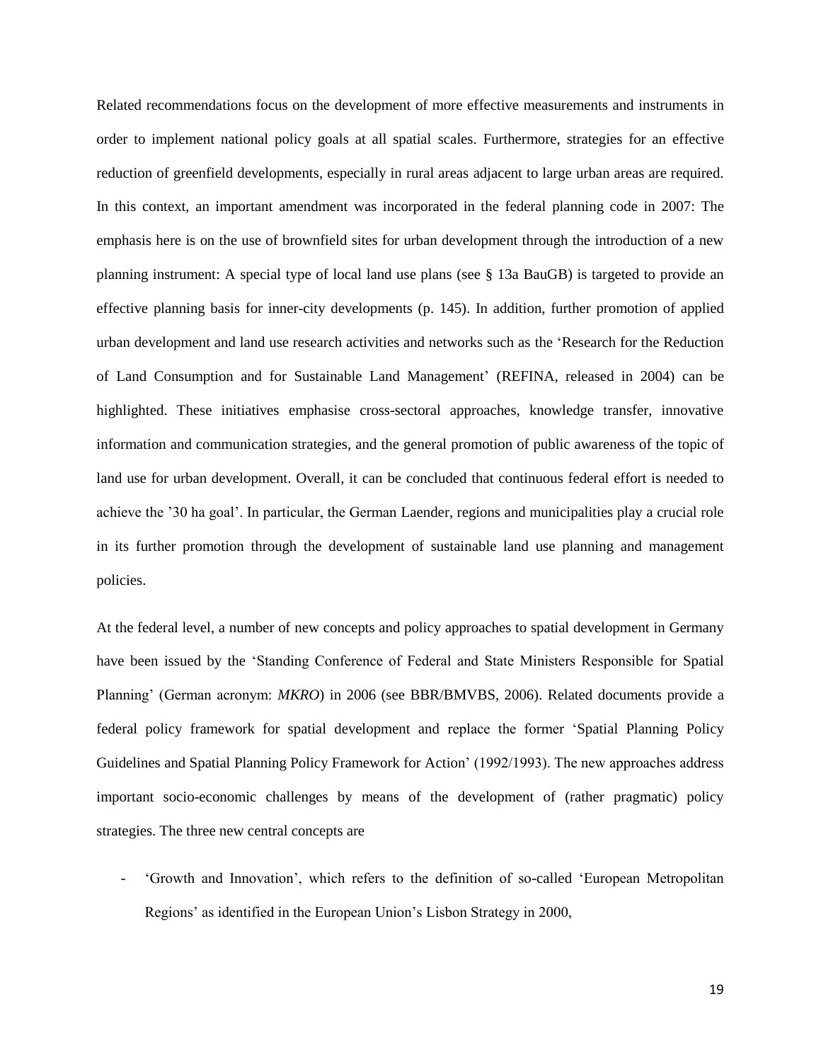Related recommendations focus on the development of more effective measurements and instruments in order to implement national policy goals at all spatial scales. Furthermore, strategies for an effective reduction of greenfield developments, especially in rural areas adjacent to large urban areas are required. In this context, an important amendment was incorporated in the federal planning code in 2007: The emphasis here is on the use of brownfield sites for urban development through the introduction of a new planning instrument: A special type of local land use plans (see § 13a BauGB) is targeted to provide an effective planning basis for inner-city developments (p. 145). In addition, further promotion of applied urban development and land use research activities and networks such as the 'Research for the Reduction of Land Consumption and for Sustainable Land Management' (REFINA, released in 2004) can be highlighted. These initiatives emphasise cross-sectoral approaches, knowledge transfer, innovative information and communication strategies, and the general promotion of public awareness of the topic of land use for urban development. Overall, it can be concluded that continuous federal effort is needed to achieve the '30 ha goal'. In particular, the German Laender, regions and municipalities play a crucial role in its further promotion through the development of sustainable land use planning and management policies.

At the federal level, a number of new concepts and policy approaches to spatial development in Germany have been issued by the 'Standing Conference of Federal and State Ministers Responsible for Spatial Planning' (German acronym: *MKRO*) in 2006 (see BBR/BMVBS, 2006). Related documents provide a federal policy framework for spatial development and replace the former 'Spatial Planning Policy Guidelines and Spatial Planning Policy Framework for Action' (1992/1993). The new approaches address important socio-economic challenges by means of the development of (rather pragmatic) policy strategies. The three new central concepts are

- 'Growth and Innovation', which refers to the definition of so-called 'European Metropolitan Regions' as identified in the European Union's Lisbon Strategy in 2000,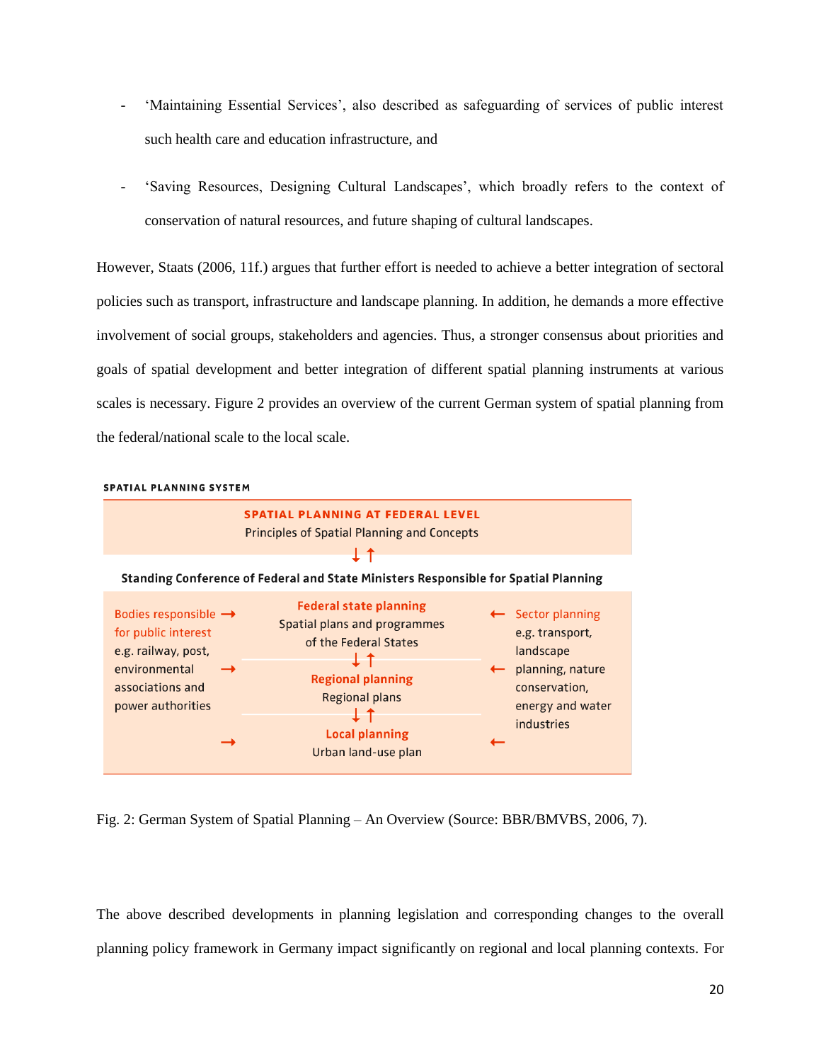- 'Maintaining Essential Services', also described as safeguarding of services of public interest such health care and education infrastructure, and
- 'Saving Resources, Designing Cultural Landscapes', which broadly refers to the context of conservation of natural resources, and future shaping of cultural landscapes.

However, Staats (2006, 11f.) argues that further effort is needed to achieve a better integration of sectoral policies such as transport, infrastructure and landscape planning. In addition, he demands a more effective involvement of social groups, stakeholders and agencies. Thus, a stronger consensus about priorities and goals of spatial development and better integration of different spatial planning instruments at various scales is necessary. Figure 2 provides an overview of the current German system of spatial planning from the federal/national scale to the local scale.



SPATIAL PLANNING SYSTEM

Fig. 2: German System of Spatial Planning – An Overview (Source: BBR/BMVBS, 2006, 7).

The above described developments in planning legislation and corresponding changes to the overall planning policy framework in Germany impact significantly on regional and local planning contexts. For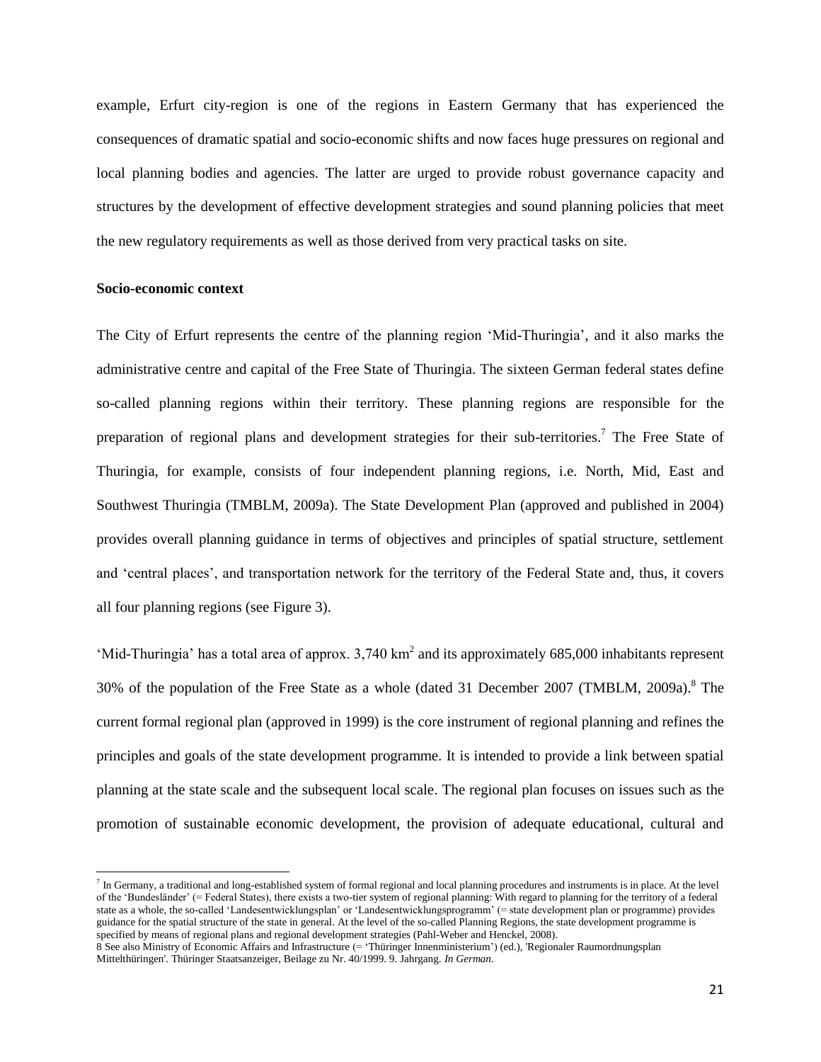example, Erfurt city-region is one of the regions in Eastern Germany that has experienced the consequences of dramatic spatial and socio-economic shifts and now faces huge pressures on regional and local planning bodies and agencies. The latter are urged to provide robust governance capacity and structures by the development of effective development strategies and sound planning policies that meet the new regulatory requirements as well as those derived from very practical tasks on site.

# **Socio-economic context**

 $\overline{\phantom{a}}$ 

The City of Erfurt represents the centre of the planning region 'Mid-Thuringia', and it also marks the administrative centre and capital of the Free State of Thuringia. The sixteen German federal states define so-called planning regions within their territory. These planning regions are responsible for the preparation of regional plans and development strategies for their sub-territories.<sup>7</sup> The Free State of Thuringia, for example, consists of four independent planning regions, i.e. North, Mid, East and Southwest Thuringia (TMBLM, 2009a). The State Development Plan (approved and published in 2004) provides overall planning guidance in terms of objectives and principles of spatial structure, settlement and 'central places', and transportation network for the territory of the Federal State and, thus, it covers all four planning regions (see Figure 3).

'Mid-Thuringia' has a total area of approx.  $3,740 \text{ km}^2$  and its approximately 685,000 inhabitants represent 30% of the population of the Free State as a whole (dated 31 December 2007 (TMBLM, 2009a).<sup>8</sup> The current formal regional plan (approved in 1999) is the core instrument of regional planning and refines the principles and goals of the state development programme. It is intended to provide a link between spatial planning at the state scale and the subsequent local scale. The regional plan focuses on issues such as the promotion of sustainable economic development, the provision of adequate educational, cultural and

 $^7$  In Germany, a traditional and long-established system of formal regional and local planning procedures and instruments is in place. At the level of the 'Bundesländer' (= Federal States), there exists a two-tier system of regional planning: With regard to planning for the territory of a federal state as a whole, the so-called 'Landesentwicklungsplan' or 'Landesentwicklungsprogramm' (= state development plan or programme) provides guidance for the spatial structure of the state in general. At the level of the so-called Planning Regions, the state development programme is specified by means of regional plans and regional development strategies (Pahl-Weber and Henckel, 2008).

<sup>8</sup> See also Ministry of Economic Affairs and Infrastructure (= 'Thüringer Innenministerium') (ed.), 'Regionaler Raumordnungsplan Mittelthüringen'. Thüringer Staatsanzeiger, Beilage zu Nr. 40/1999. 9. Jahrgang. *In German*.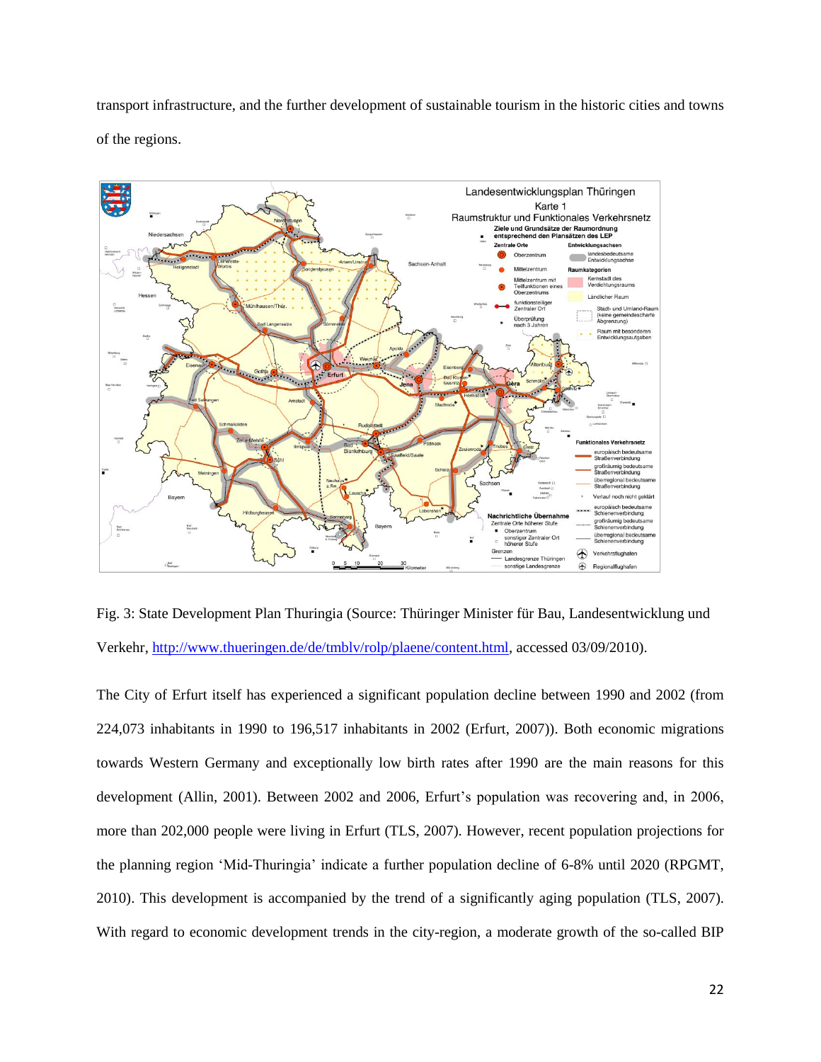transport infrastructure, and the further development of sustainable tourism in the historic cities and towns of the regions.



Fig. 3: State Development Plan Thuringia (Source: Thüringer Minister für Bau, Landesentwicklung und Verkehr, [http://www.thueringen.de/de/tmblv/rolp/plaene/content.html,](http://www.thueringen.de/de/tmblv/rolp/plaene/content.html) accessed 03/09/2010).

The City of Erfurt itself has experienced a significant population decline between 1990 and 2002 (from 224,073 inhabitants in 1990 to 196,517 inhabitants in 2002 (Erfurt, 2007)). Both economic migrations towards Western Germany and exceptionally low birth rates after 1990 are the main reasons for this development (Allin, 2001). Between 2002 and 2006, Erfurt's population was recovering and, in 2006, more than 202,000 people were living in Erfurt (TLS, 2007). However, recent population projections for the planning region 'Mid-Thuringia' indicate a further population decline of 6-8% until 2020 (RPGMT, 2010). This development is accompanied by the trend of a significantly aging population (TLS, 2007). With regard to economic development trends in the city-region, a moderate growth of the so-called BIP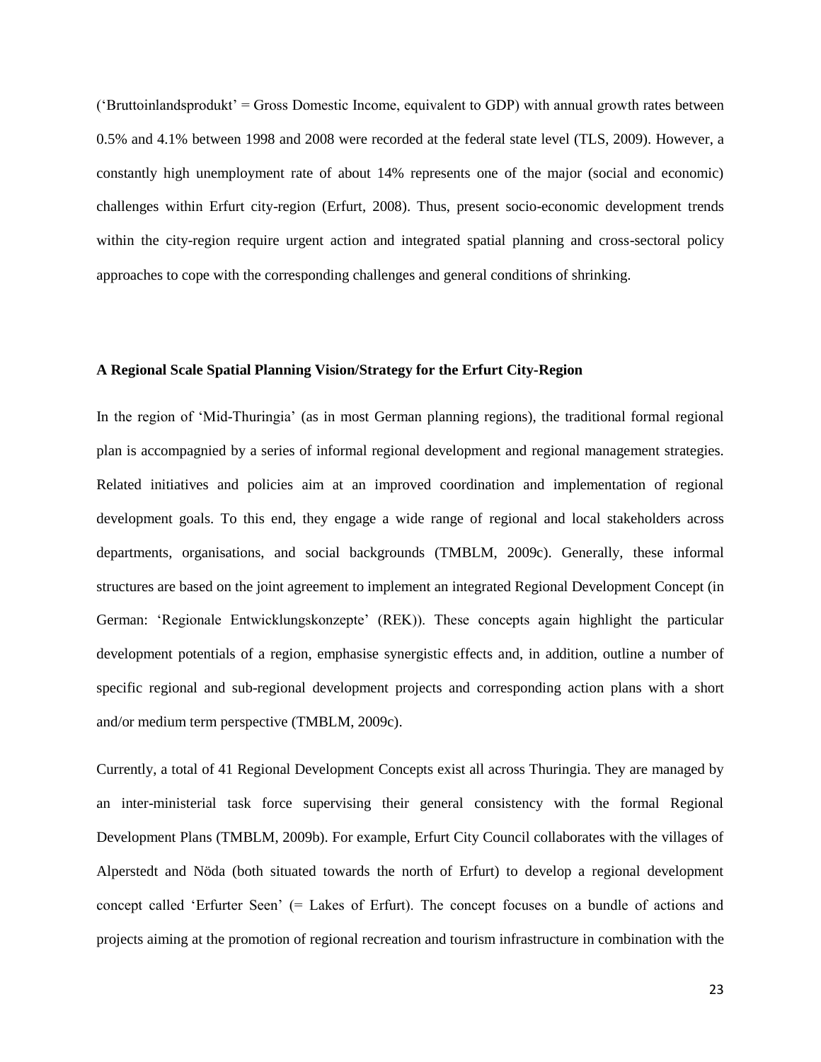('Bruttoinlandsprodukt' = Gross Domestic Income, equivalent to GDP) with annual growth rates between 0.5% and 4.1% between 1998 and 2008 were recorded at the federal state level (TLS, 2009). However, a constantly high unemployment rate of about 14% represents one of the major (social and economic) challenges within Erfurt city-region (Erfurt, 2008). Thus, present socio-economic development trends within the city-region require urgent action and integrated spatial planning and cross-sectoral policy approaches to cope with the corresponding challenges and general conditions of shrinking.

## **A Regional Scale Spatial Planning Vision/Strategy for the Erfurt City-Region**

In the region of 'Mid-Thuringia' (as in most German planning regions), the traditional formal regional plan is accompagnied by a series of informal regional development and regional management strategies. Related initiatives and policies aim at an improved coordination and implementation of regional development goals. To this end, they engage a wide range of regional and local stakeholders across departments, organisations, and social backgrounds (TMBLM, 2009c). Generally, these informal structures are based on the joint agreement to implement an integrated Regional Development Concept (in German: 'Regionale Entwicklungskonzepte' (REK)). These concepts again highlight the particular development potentials of a region, emphasise synergistic effects and, in addition, outline a number of specific regional and sub-regional development projects and corresponding action plans with a short and/or medium term perspective (TMBLM, 2009c).

Currently, a total of 41 Regional Development Concepts exist all across Thuringia. They are managed by an inter-ministerial task force supervising their general consistency with the formal Regional Development Plans (TMBLM, 2009b). For example, Erfurt City Council collaborates with the villages of Alperstedt and Nöda (both situated towards the north of Erfurt) to develop a regional development concept called 'Erfurter Seen' (= Lakes of Erfurt). The concept focuses on a bundle of actions and projects aiming at the promotion of regional recreation and tourism infrastructure in combination with the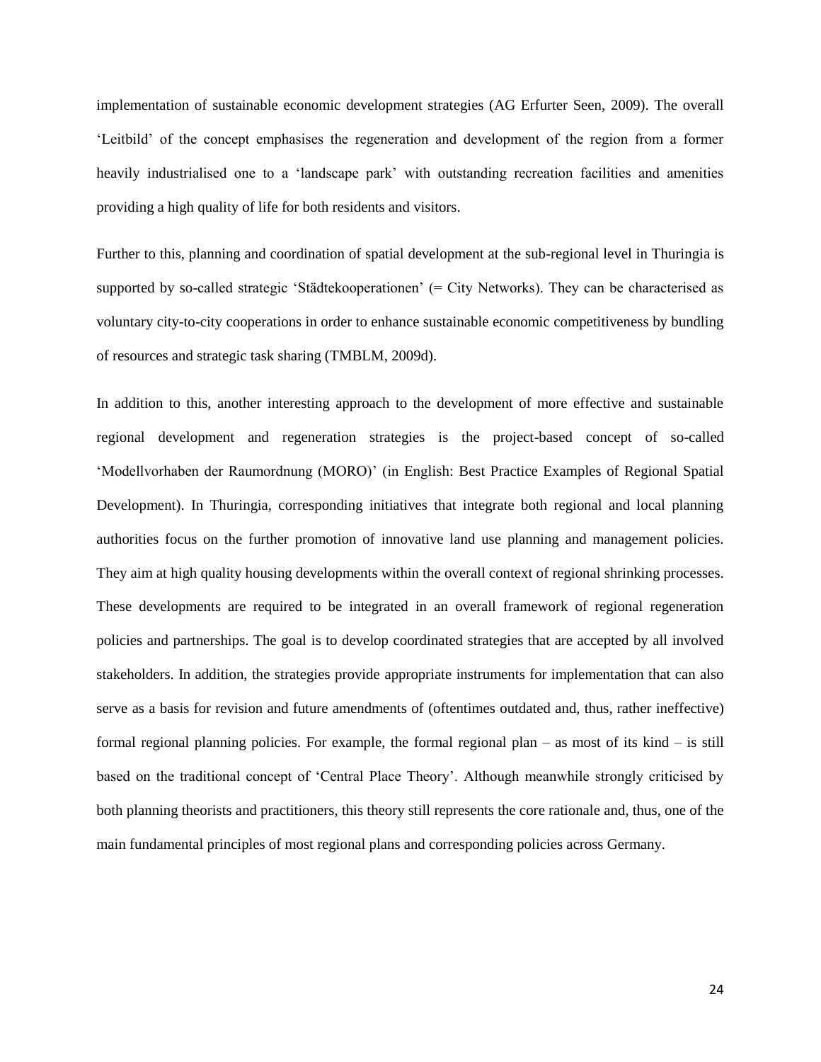implementation of sustainable economic development strategies (AG Erfurter Seen, 2009). The overall 'Leitbild' of the concept emphasises the regeneration and development of the region from a former heavily industrialised one to a 'landscape park' with outstanding recreation facilities and amenities providing a high quality of life for both residents and visitors.

Further to this, planning and coordination of spatial development at the sub-regional level in Thuringia is supported by so-called strategic 'Städtekooperationen' (= City Networks). They can be characterised as voluntary city-to-city cooperations in order to enhance sustainable economic competitiveness by bundling of resources and strategic task sharing (TMBLM, 2009d).

In addition to this, another interesting approach to the development of more effective and sustainable regional development and regeneration strategies is the project-based concept of so-called 'Modellvorhaben der Raumordnung (MORO)' (in English: Best Practice Examples of Regional Spatial Development). In Thuringia, corresponding initiatives that integrate both regional and local planning authorities focus on the further promotion of innovative land use planning and management policies. They aim at high quality housing developments within the overall context of regional shrinking processes. These developments are required to be integrated in an overall framework of regional regeneration policies and partnerships. The goal is to develop coordinated strategies that are accepted by all involved stakeholders. In addition, the strategies provide appropriate instruments for implementation that can also serve as a basis for revision and future amendments of (oftentimes outdated and, thus, rather ineffective) formal regional planning policies. For example, the formal regional plan – as most of its kind – is still based on the traditional concept of 'Central Place Theory'. Although meanwhile strongly criticised by both planning theorists and practitioners, this theory still represents the core rationale and, thus, one of the main fundamental principles of most regional plans and corresponding policies across Germany.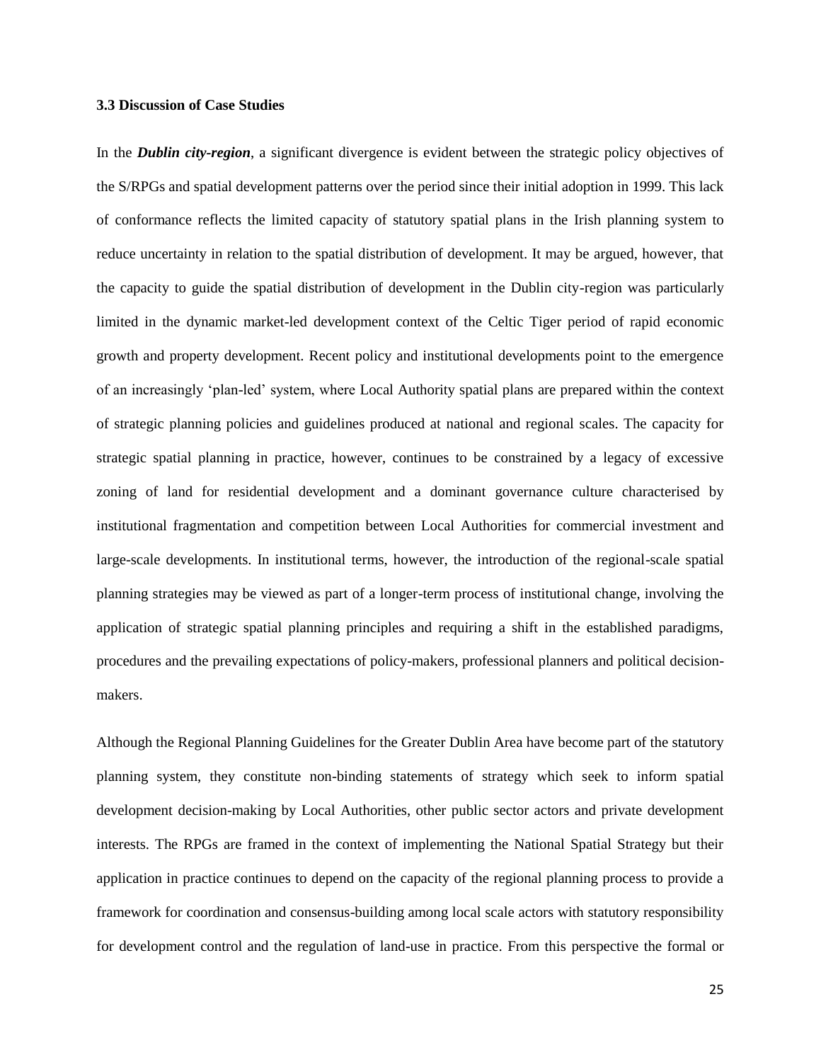#### **3.3 Discussion of Case Studies**

In the *Dublin city-region*, a significant divergence is evident between the strategic policy objectives of the S/RPGs and spatial development patterns over the period since their initial adoption in 1999. This lack of conformance reflects the limited capacity of statutory spatial plans in the Irish planning system to reduce uncertainty in relation to the spatial distribution of development. It may be argued, however, that the capacity to guide the spatial distribution of development in the Dublin city-region was particularly limited in the dynamic market-led development context of the Celtic Tiger period of rapid economic growth and property development. Recent policy and institutional developments point to the emergence of an increasingly 'plan-led' system, where Local Authority spatial plans are prepared within the context of strategic planning policies and guidelines produced at national and regional scales. The capacity for strategic spatial planning in practice, however, continues to be constrained by a legacy of excessive zoning of land for residential development and a dominant governance culture characterised by institutional fragmentation and competition between Local Authorities for commercial investment and large-scale developments. In institutional terms, however, the introduction of the regional-scale spatial planning strategies may be viewed as part of a longer-term process of institutional change, involving the application of strategic spatial planning principles and requiring a shift in the established paradigms, procedures and the prevailing expectations of policy-makers, professional planners and political decisionmakers.

Although the Regional Planning Guidelines for the Greater Dublin Area have become part of the statutory planning system, they constitute non-binding statements of strategy which seek to inform spatial development decision-making by Local Authorities, other public sector actors and private development interests. The RPGs are framed in the context of implementing the National Spatial Strategy but their application in practice continues to depend on the capacity of the regional planning process to provide a framework for coordination and consensus-building among local scale actors with statutory responsibility for development control and the regulation of land-use in practice. From this perspective the formal or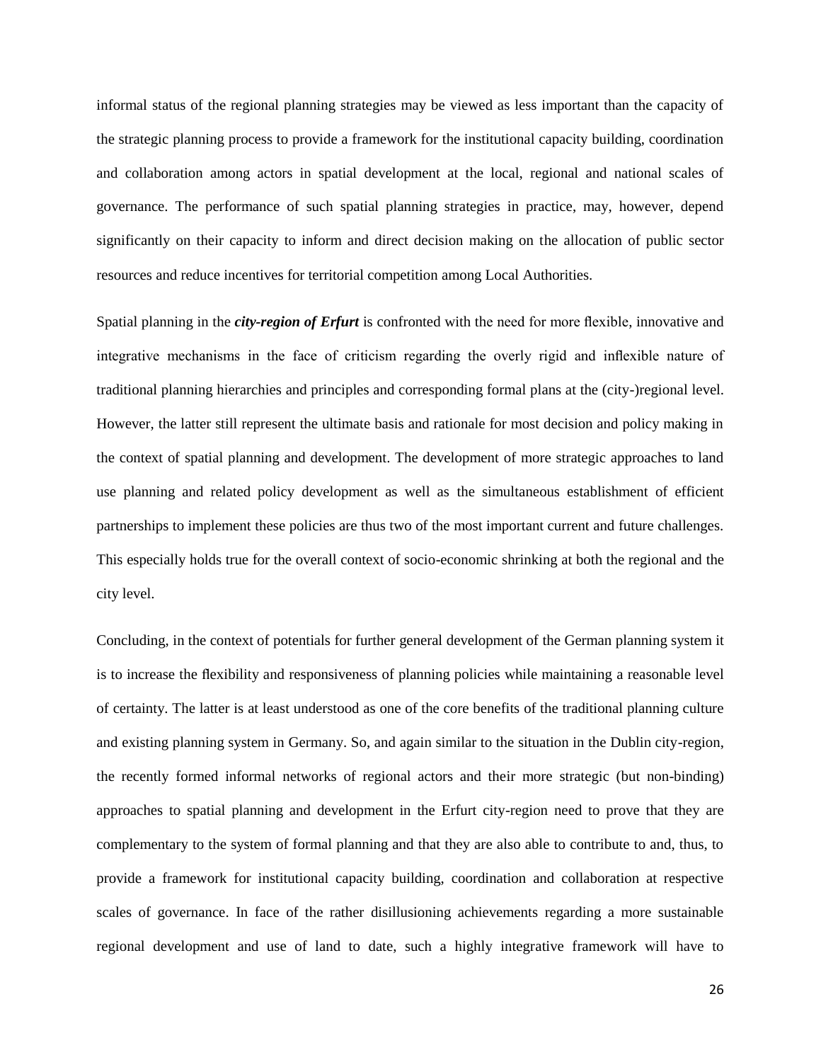informal status of the regional planning strategies may be viewed as less important than the capacity of the strategic planning process to provide a framework for the institutional capacity building, coordination and collaboration among actors in spatial development at the local, regional and national scales of governance. The performance of such spatial planning strategies in practice, may, however, depend significantly on their capacity to inform and direct decision making on the allocation of public sector resources and reduce incentives for territorial competition among Local Authorities.

Spatial planning in the *city-region of Erfurt* is confronted with the need for more flexible, innovative and integrative mechanisms in the face of criticism regarding the overly rigid and inflexible nature of traditional planning hierarchies and principles and corresponding formal plans at the (city-)regional level. However, the latter still represent the ultimate basis and rationale for most decision and policy making in the context of spatial planning and development. The development of more strategic approaches to land use planning and related policy development as well as the simultaneous establishment of efficient partnerships to implement these policies are thus two of the most important current and future challenges. This especially holds true for the overall context of socio-economic shrinking at both the regional and the city level.

Concluding, in the context of potentials for further general development of the German planning system it is to increase the flexibility and responsiveness of planning policies while maintaining a reasonable level of certainty. The latter is at least understood as one of the core benefits of the traditional planning culture and existing planning system in Germany. So, and again similar to the situation in the Dublin city-region, the recently formed informal networks of regional actors and their more strategic (but non-binding) approaches to spatial planning and development in the Erfurt city-region need to prove that they are complementary to the system of formal planning and that they are also able to contribute to and, thus, to provide a framework for institutional capacity building, coordination and collaboration at respective scales of governance. In face of the rather disillusioning achievements regarding a more sustainable regional development and use of land to date, such a highly integrative framework will have to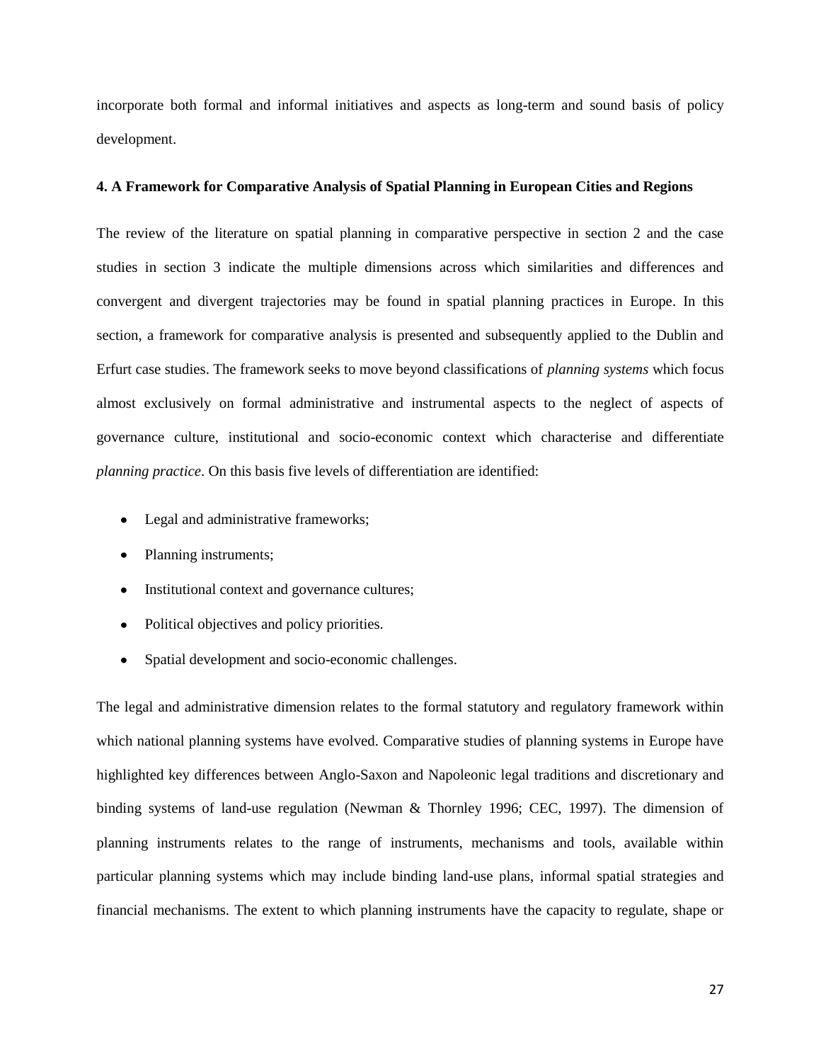incorporate both formal and informal initiatives and aspects as long-term and sound basis of policy development.

#### **4. A Framework for Comparative Analysis of Spatial Planning in European Cities and Regions**

The review of the literature on spatial planning in comparative perspective in section 2 and the case studies in section 3 indicate the multiple dimensions across which similarities and differences and convergent and divergent trajectories may be found in spatial planning practices in Europe. In this section, a framework for comparative analysis is presented and subsequently applied to the Dublin and Erfurt case studies. The framework seeks to move beyond classifications of *planning systems* which focus almost exclusively on formal administrative and instrumental aspects to the neglect of aspects of governance culture, institutional and socio-economic context which characterise and differentiate *planning practice*. On this basis five levels of differentiation are identified:

- Legal and administrative frameworks;
- Planning instruments;
- Institutional context and governance cultures;
- Political objectives and policy priorities.
- Spatial development and socio-economic challenges.  $\bullet$

The legal and administrative dimension relates to the formal statutory and regulatory framework within which national planning systems have evolved. Comparative studies of planning systems in Europe have highlighted key differences between Anglo-Saxon and Napoleonic legal traditions and discretionary and binding systems of land-use regulation (Newman & Thornley 1996; CEC, 1997). The dimension of planning instruments relates to the range of instruments, mechanisms and tools, available within particular planning systems which may include binding land-use plans, informal spatial strategies and financial mechanisms. The extent to which planning instruments have the capacity to regulate, shape or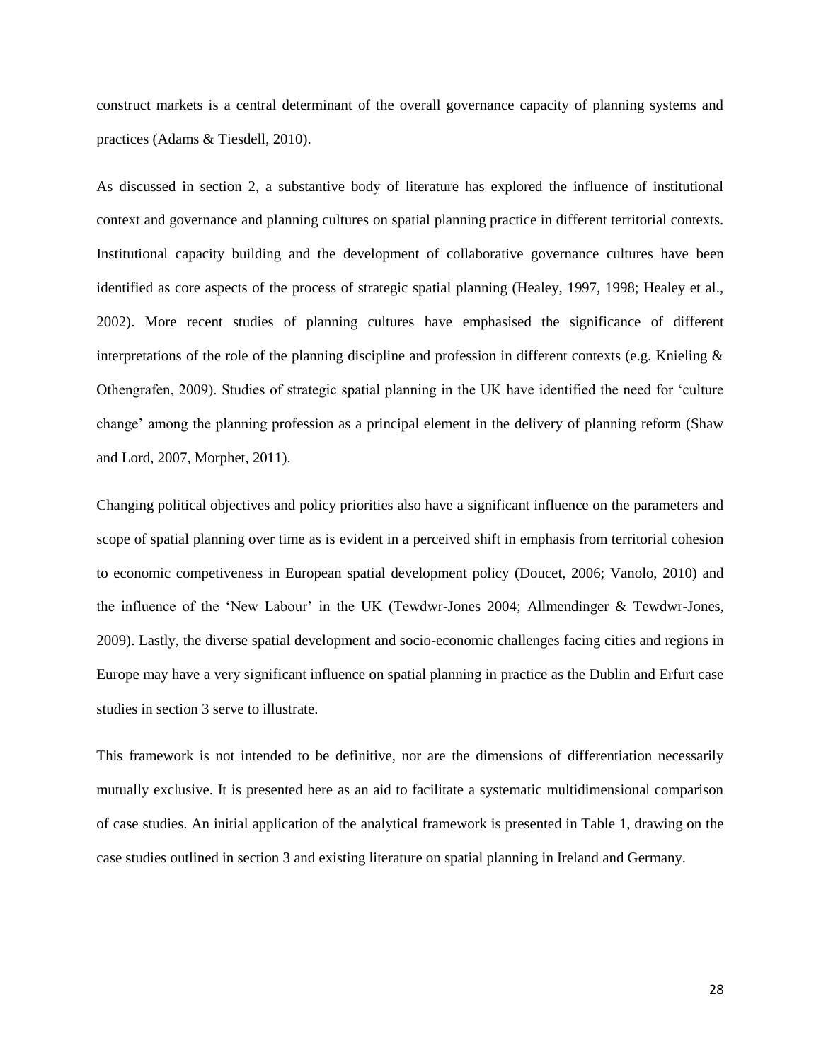construct markets is a central determinant of the overall governance capacity of planning systems and practices (Adams & Tiesdell, 2010).

As discussed in section 2, a substantive body of literature has explored the influence of institutional context and governance and planning cultures on spatial planning practice in different territorial contexts. Institutional capacity building and the development of collaborative governance cultures have been identified as core aspects of the process of strategic spatial planning (Healey, 1997, 1998; Healey et al., 2002). More recent studies of planning cultures have emphasised the significance of different interpretations of the role of the planning discipline and profession in different contexts (e.g. Knieling  $\&$ Othengrafen, 2009). Studies of strategic spatial planning in the UK have identified the need for 'culture change' among the planning profession as a principal element in the delivery of planning reform (Shaw and Lord, 2007, Morphet, 2011).

Changing political objectives and policy priorities also have a significant influence on the parameters and scope of spatial planning over time as is evident in a perceived shift in emphasis from territorial cohesion to economic competiveness in European spatial development policy (Doucet, 2006; Vanolo, 2010) and the influence of the 'New Labour' in the UK (Tewdwr-Jones 2004; Allmendinger & Tewdwr-Jones, 2009). Lastly, the diverse spatial development and socio-economic challenges facing cities and regions in Europe may have a very significant influence on spatial planning in practice as the Dublin and Erfurt case studies in section 3 serve to illustrate.

This framework is not intended to be definitive, nor are the dimensions of differentiation necessarily mutually exclusive. It is presented here as an aid to facilitate a systematic multidimensional comparison of case studies. An initial application of the analytical framework is presented in Table 1, drawing on the case studies outlined in section 3 and existing literature on spatial planning in Ireland and Germany.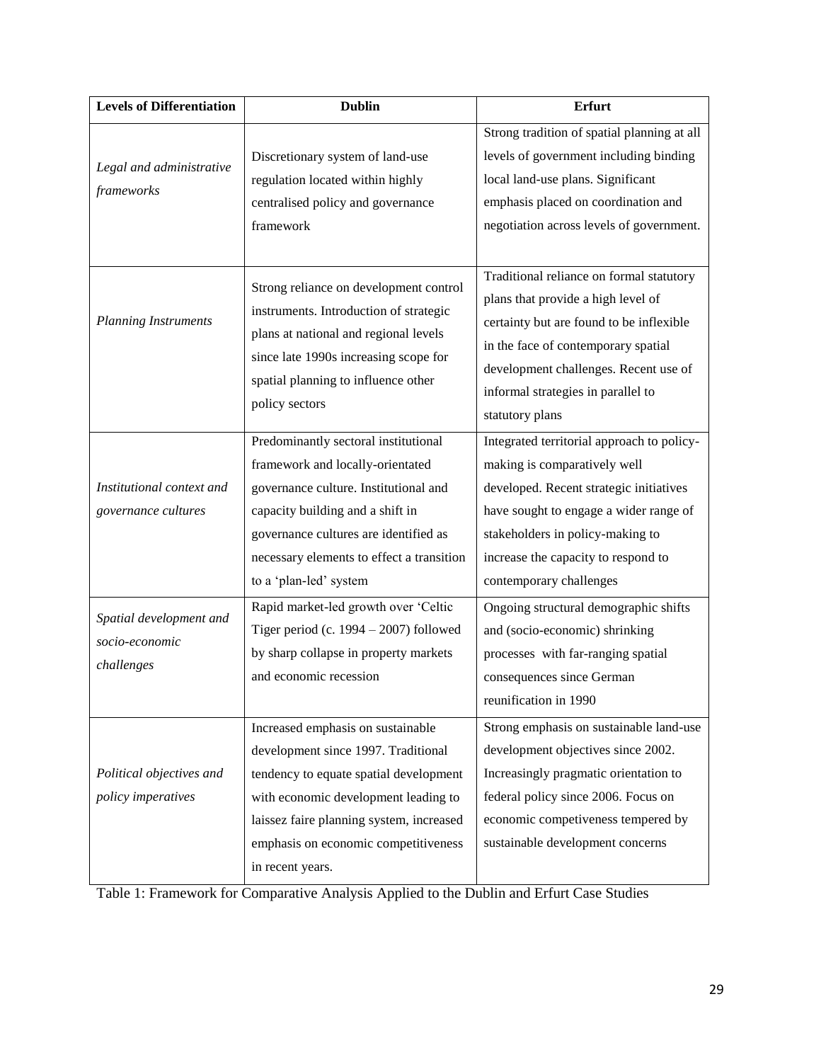| <b>Levels of Differentiation</b>                        | <b>Dublin</b>                             | Erfurt                                      |
|---------------------------------------------------------|-------------------------------------------|---------------------------------------------|
| Legal and administrative<br>frameworks                  |                                           | Strong tradition of spatial planning at all |
|                                                         | Discretionary system of land-use          | levels of government including binding      |
|                                                         | regulation located within highly          | local land-use plans. Significant           |
|                                                         | centralised policy and governance         | emphasis placed on coordination and         |
|                                                         | framework                                 | negotiation across levels of government.    |
|                                                         |                                           |                                             |
| <b>Planning Instruments</b>                             | Strong reliance on development control    | Traditional reliance on formal statutory    |
|                                                         | instruments. Introduction of strategic    | plans that provide a high level of          |
|                                                         | plans at national and regional levels     | certainty but are found to be inflexible    |
|                                                         | since late 1990s increasing scope for     | in the face of contemporary spatial         |
|                                                         | spatial planning to influence other       | development challenges. Recent use of       |
|                                                         | policy sectors                            | informal strategies in parallel to          |
|                                                         |                                           | statutory plans                             |
|                                                         | Predominantly sectoral institutional      | Integrated territorial approach to policy-  |
|                                                         | framework and locally-orientated          | making is comparatively well                |
| Institutional context and                               | governance culture. Institutional and     | developed. Recent strategic initiatives     |
| governance cultures                                     | capacity building and a shift in          | have sought to engage a wider range of      |
|                                                         | governance cultures are identified as     | stakeholders in policy-making to            |
|                                                         | necessary elements to effect a transition | increase the capacity to respond to         |
|                                                         | to a 'plan-led' system                    | contemporary challenges                     |
| Spatial development and<br>socio-economic<br>challenges | Rapid market-led growth over 'Celtic      | Ongoing structural demographic shifts       |
|                                                         | Tiger period (c. $1994 - 2007$ ) followed | and (socio-economic) shrinking              |
|                                                         | by sharp collapse in property markets     | processes with far-ranging spatial          |
|                                                         | and economic recession                    | consequences since German                   |
|                                                         |                                           | reunification in 1990                       |
| Political objectives and                                | Increased emphasis on sustainable         | Strong emphasis on sustainable land-use     |
|                                                         | development since 1997. Traditional       | development objectives since 2002.          |
|                                                         | tendency to equate spatial development    | Increasingly pragmatic orientation to       |
| policy imperatives                                      | with economic development leading to      | federal policy since 2006. Focus on         |
|                                                         | laissez faire planning system, increased  | economic competiveness tempered by          |
|                                                         | emphasis on economic competitiveness      | sustainable development concerns            |
|                                                         | in recent years.                          |                                             |

Table 1: Framework for Comparative Analysis Applied to the Dublin and Erfurt Case Studies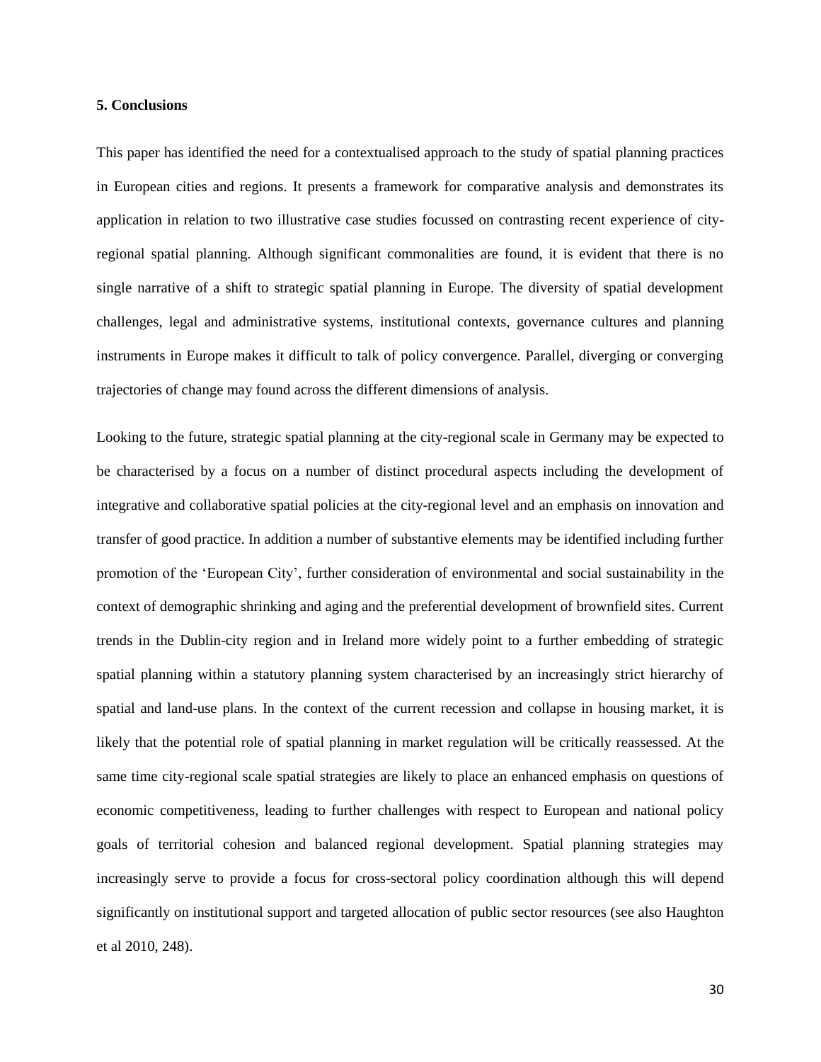#### **5. Conclusions**

This paper has identified the need for a contextualised approach to the study of spatial planning practices in European cities and regions. It presents a framework for comparative analysis and demonstrates its application in relation to two illustrative case studies focussed on contrasting recent experience of cityregional spatial planning. Although significant commonalities are found, it is evident that there is no single narrative of a shift to strategic spatial planning in Europe. The diversity of spatial development challenges, legal and administrative systems, institutional contexts, governance cultures and planning instruments in Europe makes it difficult to talk of policy convergence. Parallel, diverging or converging trajectories of change may found across the different dimensions of analysis.

Looking to the future, strategic spatial planning at the city-regional scale in Germany may be expected to be characterised by a focus on a number of distinct procedural aspects including the development of integrative and collaborative spatial policies at the city-regional level and an emphasis on innovation and transfer of good practice. In addition a number of substantive elements may be identified including further promotion of the 'European City', further consideration of environmental and social sustainability in the context of demographic shrinking and aging and the preferential development of brownfield sites. Current trends in the Dublin-city region and in Ireland more widely point to a further embedding of strategic spatial planning within a statutory planning system characterised by an increasingly strict hierarchy of spatial and land-use plans. In the context of the current recession and collapse in housing market, it is likely that the potential role of spatial planning in market regulation will be critically reassessed. At the same time city-regional scale spatial strategies are likely to place an enhanced emphasis on questions of economic competitiveness, leading to further challenges with respect to European and national policy goals of territorial cohesion and balanced regional development. Spatial planning strategies may increasingly serve to provide a focus for cross-sectoral policy coordination although this will depend significantly on institutional support and targeted allocation of public sector resources (see also Haughton et al 2010, 248).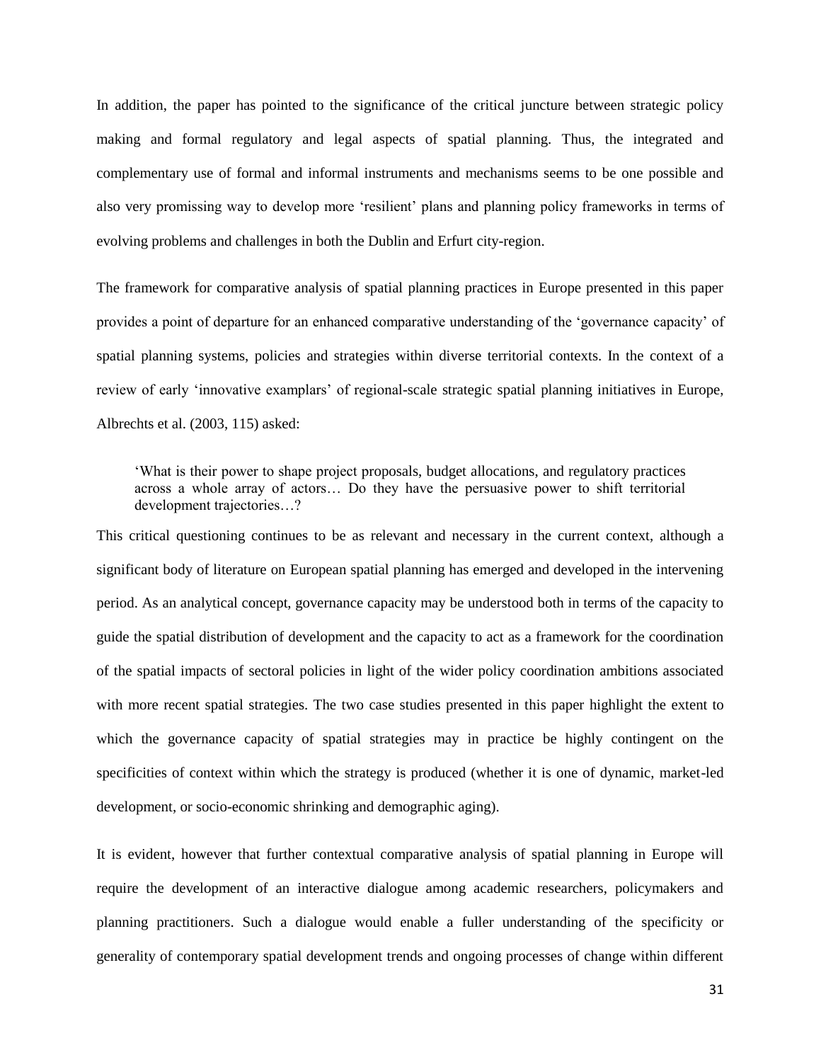In addition, the paper has pointed to the significance of the critical juncture between strategic policy making and formal regulatory and legal aspects of spatial planning. Thus, the integrated and complementary use of formal and informal instruments and mechanisms seems to be one possible and also very promissing way to develop more 'resilient' plans and planning policy frameworks in terms of evolving problems and challenges in both the Dublin and Erfurt city-region.

The framework for comparative analysis of spatial planning practices in Europe presented in this paper provides a point of departure for an enhanced comparative understanding of the 'governance capacity' of spatial planning systems, policies and strategies within diverse territorial contexts. In the context of a review of early 'innovative examplars' of regional-scale strategic spatial planning initiatives in Europe, Albrechts et al. (2003, 115) asked:

'What is their power to shape project proposals, budget allocations, and regulatory practices across a whole array of actors… Do they have the persuasive power to shift territorial development trajectories…?

This critical questioning continues to be as relevant and necessary in the current context, although a significant body of literature on European spatial planning has emerged and developed in the intervening period. As an analytical concept, governance capacity may be understood both in terms of the capacity to guide the spatial distribution of development and the capacity to act as a framework for the coordination of the spatial impacts of sectoral policies in light of the wider policy coordination ambitions associated with more recent spatial strategies. The two case studies presented in this paper highlight the extent to which the governance capacity of spatial strategies may in practice be highly contingent on the specificities of context within which the strategy is produced (whether it is one of dynamic, market-led development, or socio-economic shrinking and demographic aging).

It is evident, however that further contextual comparative analysis of spatial planning in Europe will require the development of an interactive dialogue among academic researchers, policymakers and planning practitioners. Such a dialogue would enable a fuller understanding of the specificity or generality of contemporary spatial development trends and ongoing processes of change within different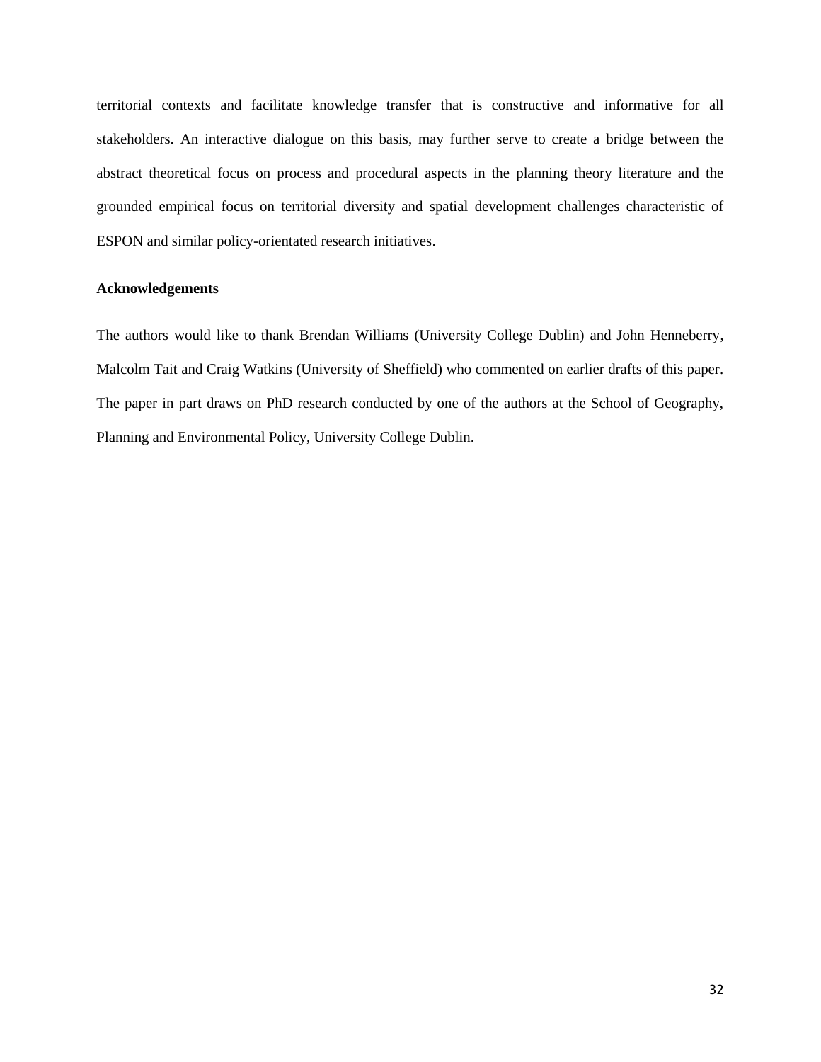territorial contexts and facilitate knowledge transfer that is constructive and informative for all stakeholders. An interactive dialogue on this basis, may further serve to create a bridge between the abstract theoretical focus on process and procedural aspects in the planning theory literature and the grounded empirical focus on territorial diversity and spatial development challenges characteristic of ESPON and similar policy-orientated research initiatives.

# **Acknowledgements**

The authors would like to thank Brendan Williams (University College Dublin) and John Henneberry, Malcolm Tait and Craig Watkins (University of Sheffield) who commented on earlier drafts of this paper. The paper in part draws on PhD research conducted by one of the authors at the School of Geography, Planning and Environmental Policy, University College Dublin.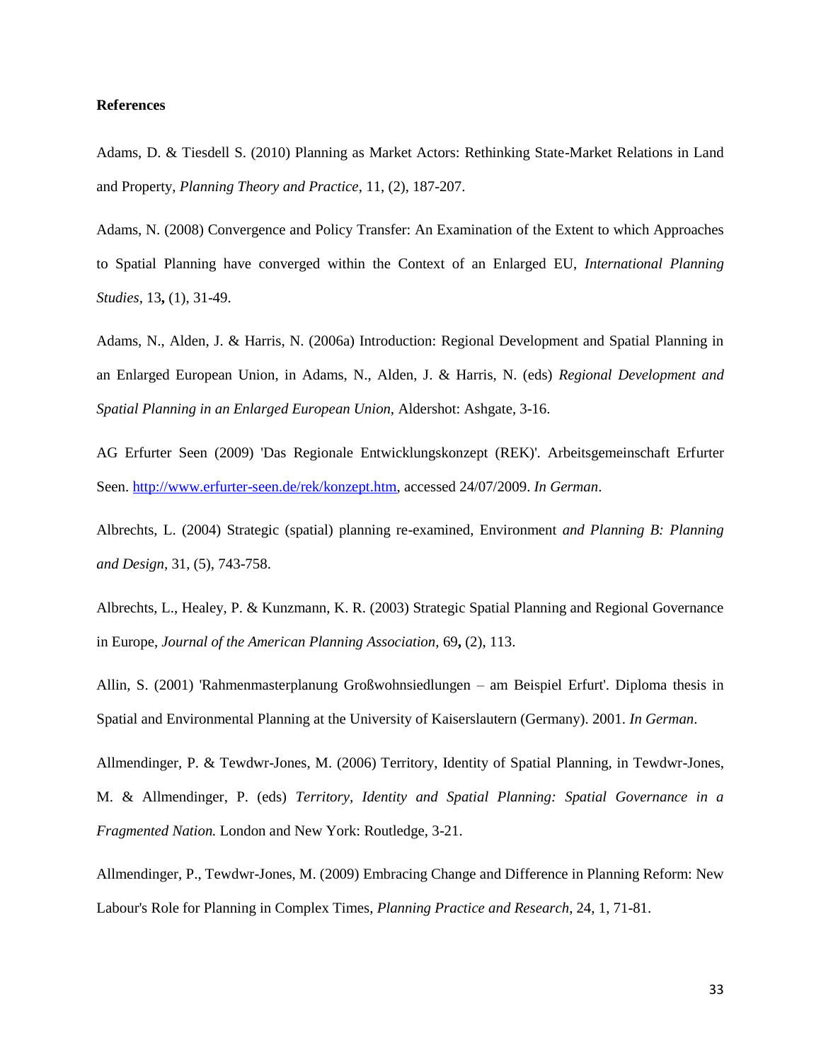#### **References**

Adams, D. & Tiesdell S. (2010) Planning as Market Actors: Rethinking State-Market Relations in Land and Property, *Planning Theory and Practice*, 11, (2), 187-207.

Adams, N. (2008) Convergence and Policy Transfer: An Examination of the Extent to which Approaches to Spatial Planning have converged within the Context of an Enlarged EU, *International Planning Studies,* 13**,** (1), 31-49.

Adams, N., Alden, J. & Harris, N. (2006a) Introduction: Regional Development and Spatial Planning in an Enlarged European Union, in Adams, N., Alden, J. & Harris, N. (eds) *Regional Development and Spatial Planning in an Enlarged European Union,* Aldershot: Ashgate, 3-16.

AG Erfurter Seen (2009) 'Das Regionale Entwicklungskonzept (REK)'. Arbeitsgemeinschaft Erfurter Seen. [http://www.erfurter-seen.de/rek/konzept.htm,](http://www.erfurter-seen.de/rek/konzept.htm) accessed 24/07/2009. *In German*.

Albrechts, L. (2004) Strategic (spatial) planning re-examined, Environment *and Planning B: Planning and Design,* 31, (5), 743-758.

Albrechts, L., Healey, P. & Kunzmann, K. R. (2003) Strategic Spatial Planning and Regional Governance in Europe, *Journal of the American Planning Association,* 69**,** (2), 113.

Allin, S. (2001) 'Rahmenmasterplanung Großwohnsiedlungen – am Beispiel Erfurt'. Diploma thesis in Spatial and Environmental Planning at the University of Kaiserslautern (Germany). 2001. *In German*.

Allmendinger, P. & Tewdwr-Jones, M. (2006) Territory, Identity of Spatial Planning, in Tewdwr-Jones, M. & Allmendinger, P. (eds) *Territory, Identity and Spatial Planning: Spatial Governance in a Fragmented Nation.* London and New York: Routledge, 3-21.

Allmendinger, P., Tewdwr-Jones, M. (2009) Embracing Change and Difference in Planning Reform: New Labour's Role for Planning in Complex Times, *Planning Practice and Research*, 24, 1, 71-81.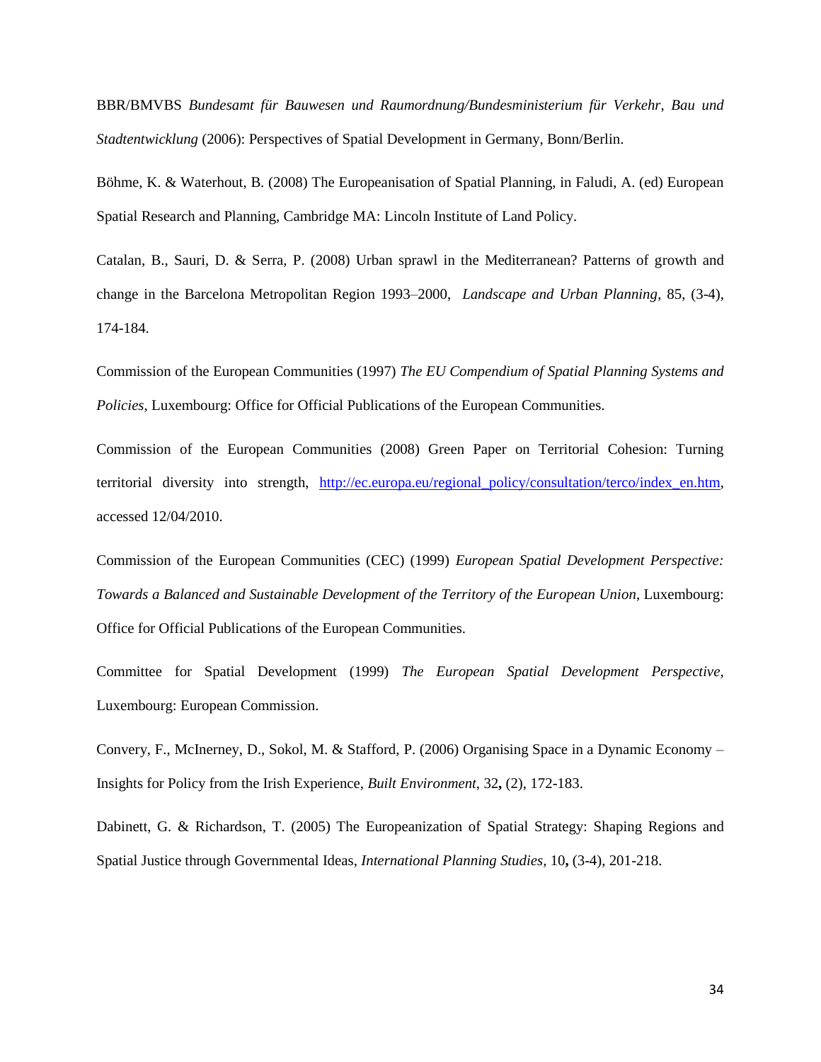BBR/BMVBS *Bundesamt für Bauwesen und Raumordnung/Bundesministerium für Verkehr, Bau und Stadtentwicklung* (2006): Perspectives of Spatial Development in Germany, Bonn/Berlin.

Böhme, K. & Waterhout, B. (2008) The Europeanisation of Spatial Planning, in Faludi, A. (ed) European Spatial Research and Planning, Cambridge MA: Lincoln Institute of Land Policy.

Catalan, B., Sauri, D. & Serra, P. (2008) Urban sprawl in the Mediterranean? Patterns of growth and change in the Barcelona Metropolitan Region 1993–2000, *Landscape and Urban Planning*, 85, (3-4), 174-184.

Commission of the European Communities (1997) *The EU Compendium of Spatial Planning Systems and Policies*, Luxembourg: Office for Official Publications of the European Communities.

Commission of the European Communities (2008) Green Paper on Territorial Cohesion: Turning territorial diversity into strength, [http://ec.europa.eu/regional\\_policy/consultation/terco/index\\_en.htm,](http://ec.europa.eu/regional_policy/consultation/terco/index_en.htm) accessed 12/04/2010.

Commission of the European Communities (CEC) (1999) *European Spatial Development Perspective: Towards a Balanced and Sustainable Development of the Territory of the European Union*, Luxembourg: Office for Official Publications of the European Communities.

Committee for Spatial Development (1999) *The European Spatial Development Perspective,*  Luxembourg: European Commission.

Convery, F., McInerney, D., Sokol, M. & Stafford, P. (2006) Organising Space in a Dynamic Economy – Insights for Policy from the Irish Experience, *Built Environment,* 32**,** (2), 172-183.

Dabinett, G. & Richardson, T. (2005) The Europeanization of Spatial Strategy: Shaping Regions and Spatial Justice through Governmental Ideas, *International Planning Studies,* 10**,** (3-4), 201-218.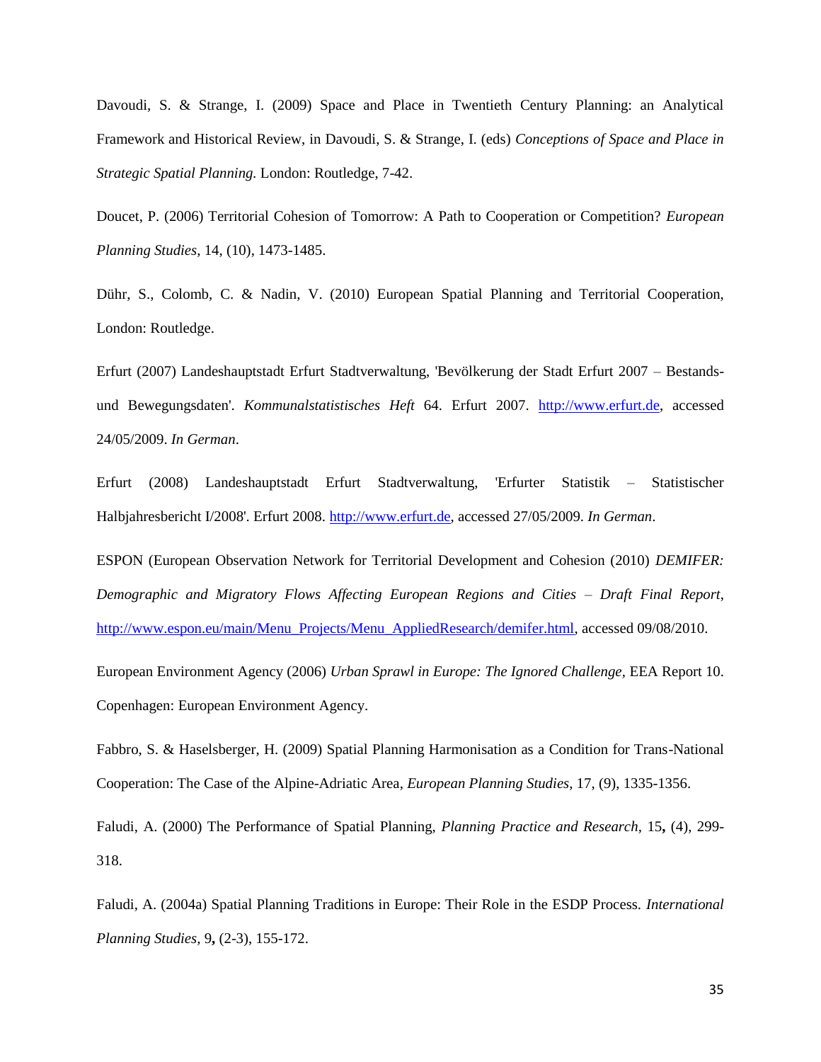Davoudi, S. & Strange, I. (2009) Space and Place in Twentieth Century Planning: an Analytical Framework and Historical Review, in Davoudi, S. & Strange, I. (eds) *Conceptions of Space and Place in Strategic Spatial Planning.* London: Routledge, 7-42.

Doucet, P. (2006) Territorial Cohesion of Tomorrow: A Path to Cooperation or Competition? *European Planning Studies*, 14, (10), 1473-1485.

Dühr, S., Colomb, C. & Nadin, V. (2010) European Spatial Planning and Territorial Cooperation, London: Routledge.

Erfurt (2007) Landeshauptstadt Erfurt Stadtverwaltung, 'Bevölkerung der Stadt Erfurt 2007 – Bestandsund Bewegungsdaten'. *Kommunalstatistisches Heft* 64. Erfurt 2007. [http://www.erfurt.de,](http://www.erfurt.de/) accessed 24/05/2009. *In German*.

Erfurt (2008) Landeshauptstadt Erfurt Stadtverwaltung, 'Erfurter Statistik – Statistischer Halbjahresbericht I/2008'. Erfurt 2008. [http://www.erfurt.de,](http://www.erfurt.de/) accessed 27/05/2009. *In German*.

ESPON (European Observation Network for Territorial Development and Cohesion (2010) *DEMIFER: Demographic and Migratory Flows Affecting European Regions and Cities – Draft Final Report*, [http://www.espon.eu/main/Menu\\_Projects/Menu\\_AppliedResearch/demifer.html,](http://www.espon.eu/main/Menu_Projects/Menu_AppliedResearch/demifer.html) accessed 09/08/2010.

European Environment Agency (2006) *Urban Sprawl in Europe: The Ignored Challenge,* EEA Report 10. Copenhagen: European Environment Agency.

Fabbro, S. & Haselsberger, H. (2009) Spatial Planning Harmonisation as a Condition for Trans-National Cooperation: The Case of the Alpine-Adriatic Area, *European Planning Studies*, 17, (9), 1335-1356.

Faludi, A. (2000) The Performance of Spatial Planning, *Planning Practice and Research,* 15**,** (4), 299- 318.

Faludi, A. (2004a) Spatial Planning Traditions in Europe: Their Role in the ESDP Process. *International Planning Studies,* 9**,** (2-3), 155-172.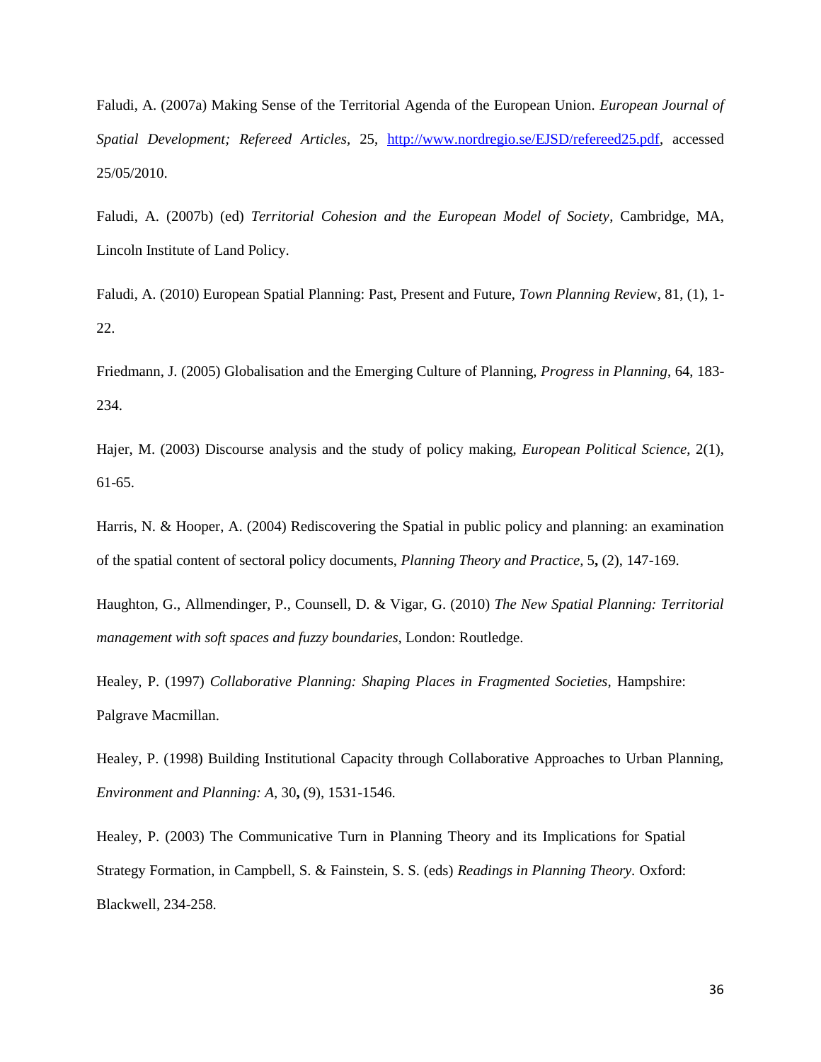Faludi, A. (2007a) Making Sense of the Territorial Agenda of the European Union. *European Journal of Spatial Development; Refereed Articles,* 25, [http://www.nordregio.se/EJSD/refereed25.pdf,](http://www.nordregio.se/EJSD/refereed25.pdf) accessed 25/05/2010.

Faludi, A. (2007b) (ed) *Territorial Cohesion and the European Model of Society*, Cambridge, MA, Lincoln Institute of Land Policy.

Faludi, A. (2010) European Spatial Planning: Past, Present and Future, *Town Planning Revie*w, 81, (1), 1- 22.

Friedmann, J. (2005) Globalisation and the Emerging Culture of Planning, *Progress in Planning*, 64, 183- 234.

Hajer, M. (2003) Discourse analysis and the study of policy making, *European Political Science*, 2(1), 61-65.

Harris, N. & Hooper, A. (2004) Rediscovering the Spatial in public policy and planning: an examination of the spatial content of sectoral policy documents, *Planning Theory and Practice,* 5**,** (2), 147-169.

Haughton, G., Allmendinger, P., Counsell, D. & Vigar, G. (2010) *The New Spatial Planning: Territorial management with soft spaces and fuzzy boundaries,* London: Routledge.

Healey, P. (1997) *Collaborative Planning: Shaping Places in Fragmented Societies, Hampshire:* Palgrave Macmillan.

Healey, P. (1998) Building Institutional Capacity through Collaborative Approaches to Urban Planning, *Environment and Planning: A,* 30**,** (9), 1531-1546.

Healey, P. (2003) The Communicative Turn in Planning Theory and its Implications for Spatial Strategy Formation, in Campbell, S. & Fainstein, S. S. (eds) *Readings in Planning Theory.* Oxford: Blackwell, 234-258.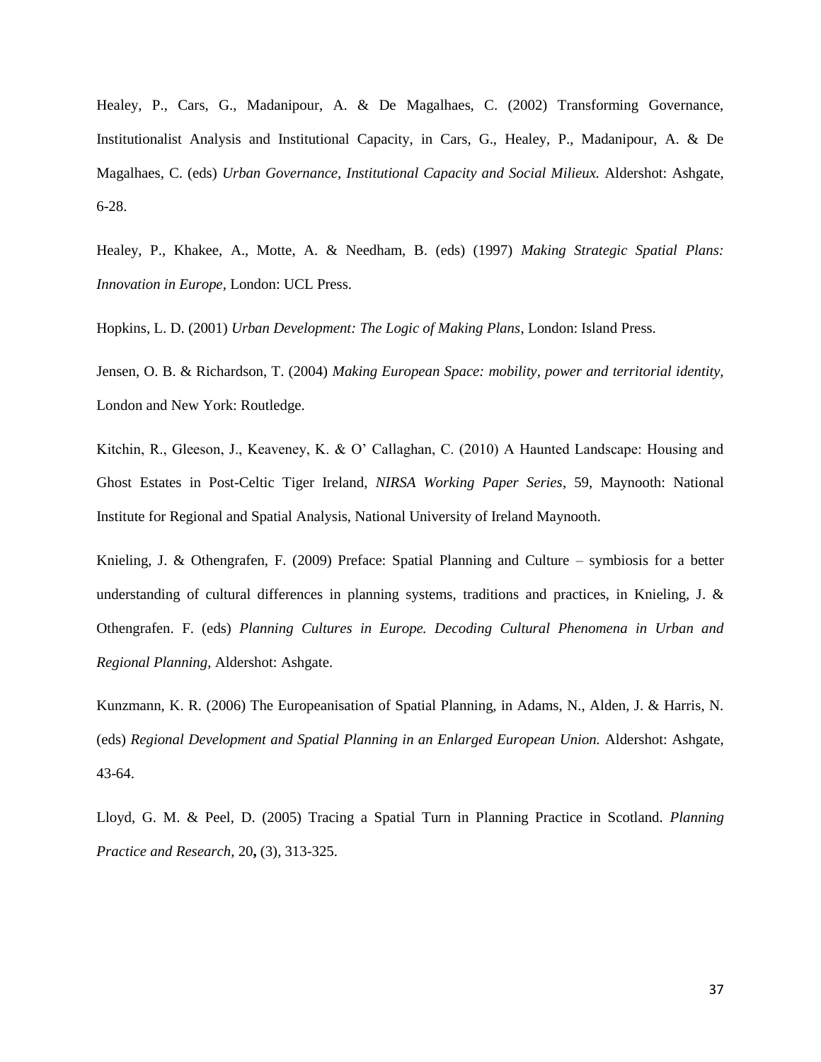Healey, P., Cars, G., Madanipour, A. & De Magalhaes, C. (2002) Transforming Governance, Institutionalist Analysis and Institutional Capacity, in Cars, G., Healey, P., Madanipour, A. & De Magalhaes, C. (eds) *Urban Governance, Institutional Capacity and Social Milieux.* Aldershot: Ashgate, 6-28.

Healey, P., Khakee, A., Motte, A. & Needham, B. (eds) (1997) *Making Strategic Spatial Plans: Innovation in Europe,* London: UCL Press.

Hopkins, L. D. (2001) *Urban Development: The Logic of Making Plans*, London: Island Press.

Jensen, O. B. & Richardson, T. (2004) *Making European Space: mobility, power and territorial identity,*  London and New York: Routledge.

Kitchin, R., Gleeson, J., Keaveney, K. & O' Callaghan, C. (2010) A Haunted Landscape: Housing and Ghost Estates in Post-Celtic Tiger Ireland*, NIRSA Working Paper Series*, 59, Maynooth: National Institute for Regional and Spatial Analysis, National University of Ireland Maynooth.

Knieling, J. & Othengrafen, F. (2009) Preface: Spatial Planning and Culture – symbiosis for a better understanding of cultural differences in planning systems, traditions and practices, in Knieling, J. & Othengrafen. F. (eds) *Planning Cultures in Europe. Decoding Cultural Phenomena in Urban and Regional Planning*, Aldershot: Ashgate.

Kunzmann, K. R. (2006) The Europeanisation of Spatial Planning, in Adams, N., Alden, J. & Harris, N. (eds) *Regional Development and Spatial Planning in an Enlarged European Union.* Aldershot: Ashgate, 43-64.

Lloyd, G. M. & Peel, D. (2005) Tracing a Spatial Turn in Planning Practice in Scotland. *Planning Practice and Research,* 20**,** (3), 313-325.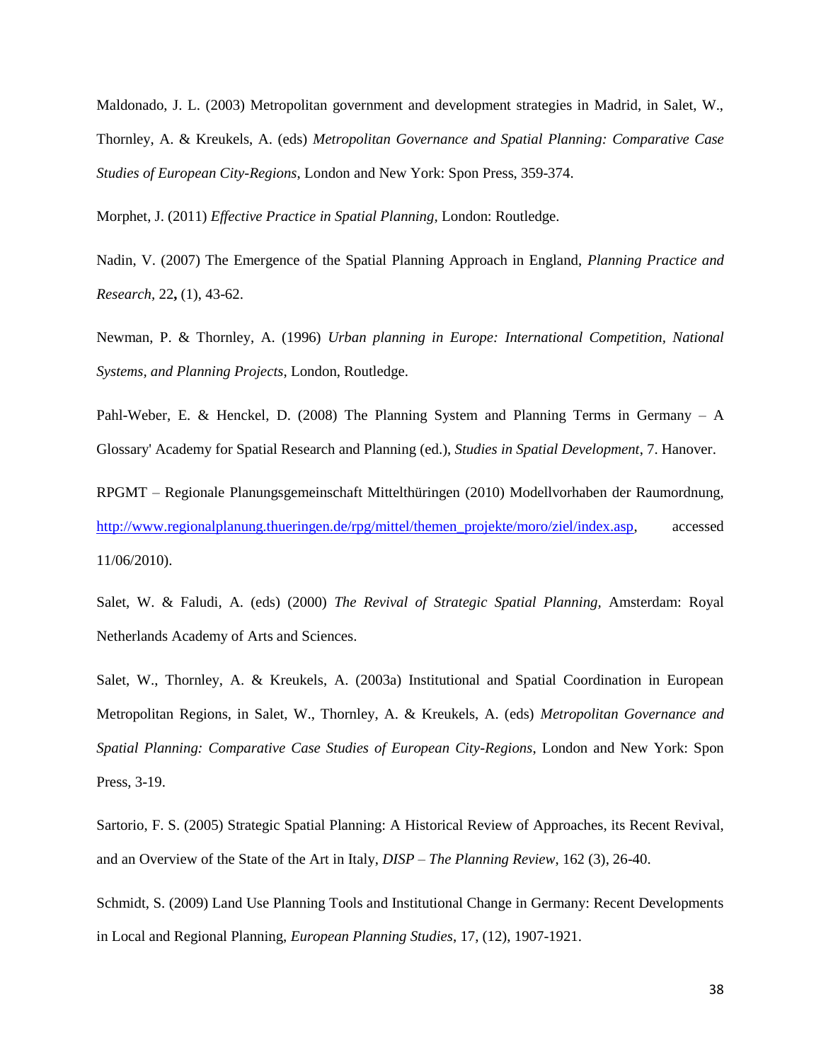Maldonado, J. L. (2003) Metropolitan government and development strategies in Madrid, in Salet, W., Thornley, A. & Kreukels, A. (eds) *Metropolitan Governance and Spatial Planning: Comparative Case Studies of European City-Regions*, London and New York: Spon Press, 359-374.

Morphet, J. (2011) *Effective Practice in Spatial Planning,* London: Routledge.

Nadin, V. (2007) The Emergence of the Spatial Planning Approach in England, *Planning Practice and Research,* 22**,** (1), 43-62.

Newman, P. & Thornley, A. (1996) *Urban planning in Europe: International Competition, National Systems, and Planning Projects*, London, Routledge.

Pahl-Weber, E. & Henckel, D. (2008) The Planning System and Planning Terms in Germany – A Glossary' Academy for Spatial Research and Planning (ed.), *Studies in Spatial Development*, 7. Hanover.

RPGMT – Regionale Planungsgemeinschaft Mittelthüringen (2010) Modellvorhaben der Raumordnung, [http://www.regionalplanung.thueringen.de/rpg/mittel/themen\\_projekte/moro/ziel/index.asp,](http://www.regionalplanung.thueringen.de/rpg/mittel/themen_projekte/moro/ziel/index.asp) accessed 11/06/2010).

Salet, W. & Faludi, A. (eds) (2000) *The Revival of Strategic Spatial Planning,* Amsterdam: Royal Netherlands Academy of Arts and Sciences.

Salet, W., Thornley, A. & Kreukels, A. (2003a) Institutional and Spatial Coordination in European Metropolitan Regions, in Salet, W., Thornley, A. & Kreukels, A. (eds) *Metropolitan Governance and Spatial Planning: Comparative Case Studies of European City-Regions*, London and New York: Spon Press, 3-19.

Sartorio, F. S. (2005) Strategic Spatial Planning: A Historical Review of Approaches, its Recent Revival, and an Overview of the State of the Art in Italy, *DISP – The Planning Review*, 162 (3), 26-40.

Schmidt, S. (2009) Land Use Planning Tools and Institutional Change in Germany: Recent Developments in Local and Regional Planning, *European Planning Studies*, 17, (12), 1907-1921.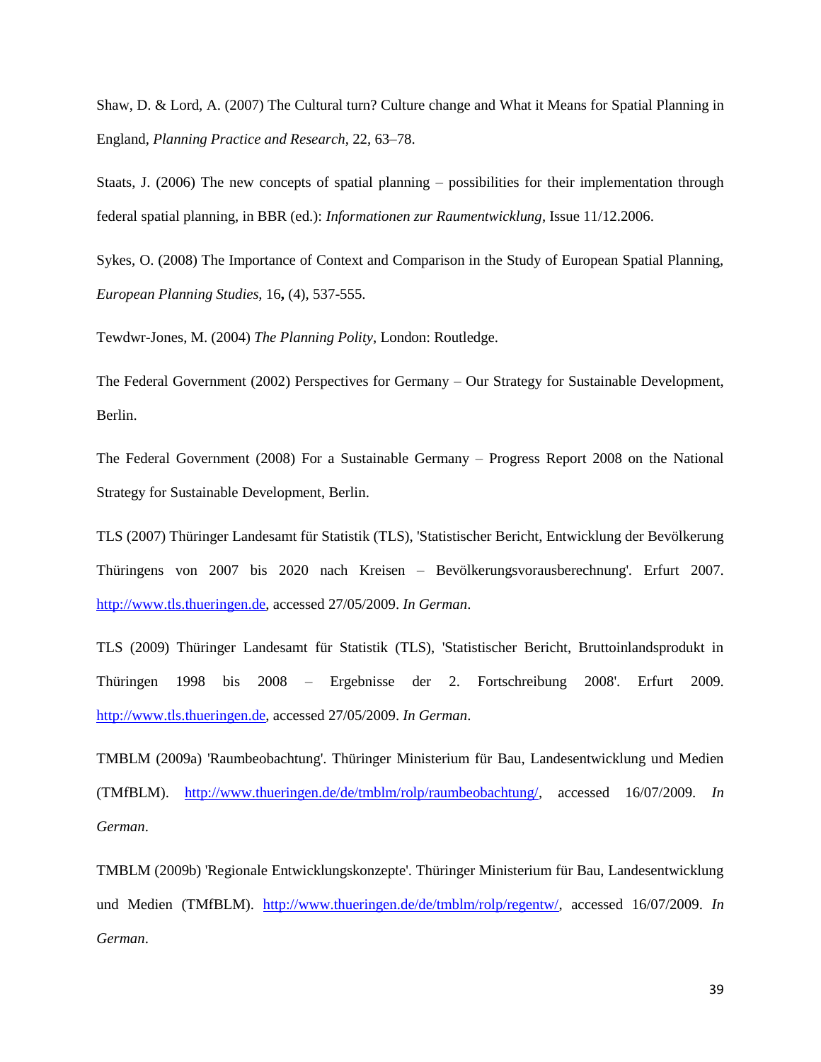Shaw, D. & Lord, A. (2007) The Cultural turn? Culture change and What it Means for Spatial Planning in England, *Planning Practice and Research*, 22, 63–78.

Staats, J. (2006) The new concepts of spatial planning – possibilities for their implementation through federal spatial planning, in BBR (ed.): *Informationen zur Raumentwicklung*, Issue 11/12.2006.

Sykes, O. (2008) The Importance of Context and Comparison in the Study of European Spatial Planning, *European Planning Studies,* 16**,** (4), 537-555.

Tewdwr-Jones, M. (2004) *The Planning Polity*, London: Routledge.

The Federal Government (2002) Perspectives for Germany – Our Strategy for Sustainable Development, Berlin.

The Federal Government (2008) For a Sustainable Germany – Progress Report 2008 on the National Strategy for Sustainable Development, Berlin.

TLS (2007) Thüringer Landesamt für Statistik (TLS), 'Statistischer Bericht, Entwicklung der Bevölkerung Thüringens von 2007 bis 2020 nach Kreisen – Bevölkerungsvorausberechnung'. Erfurt 2007. [http://www.tls.thueringen.de,](http://www.tls.thueringen.de/) accessed 27/05/2009. *In German*.

TLS (2009) Thüringer Landesamt für Statistik (TLS), 'Statistischer Bericht, Bruttoinlandsprodukt in Thüringen 1998 bis 2008 – Ergebnisse der 2. Fortschreibung 2008'. Erfurt 2009. [http://www.tls.thueringen.de,](http://www.tls.thueringen.de/) accessed 27/05/2009. *In German*.

TMBLM (2009a) 'Raumbeobachtung'. Thüringer Ministerium für Bau, Landesentwicklung und Medien (TMfBLM). [http://www.thueringen.de/de/tmblm/rolp/raumbeobachtung/,](http://www.thueringen.de/de/tmblm/rolp/raumbeobachtung/) accessed 16/07/2009. *In German*.

TMBLM (2009b) 'Regionale Entwicklungskonzepte'. Thüringer Ministerium für Bau, Landesentwicklung und Medien (TMfBLM). [http://www.thueringen.de/de/tmblm/rolp/regentw/,](http://www.thueringen.de/de/tmblm/rolp/regentw/) accessed 16/07/2009. *In German*.